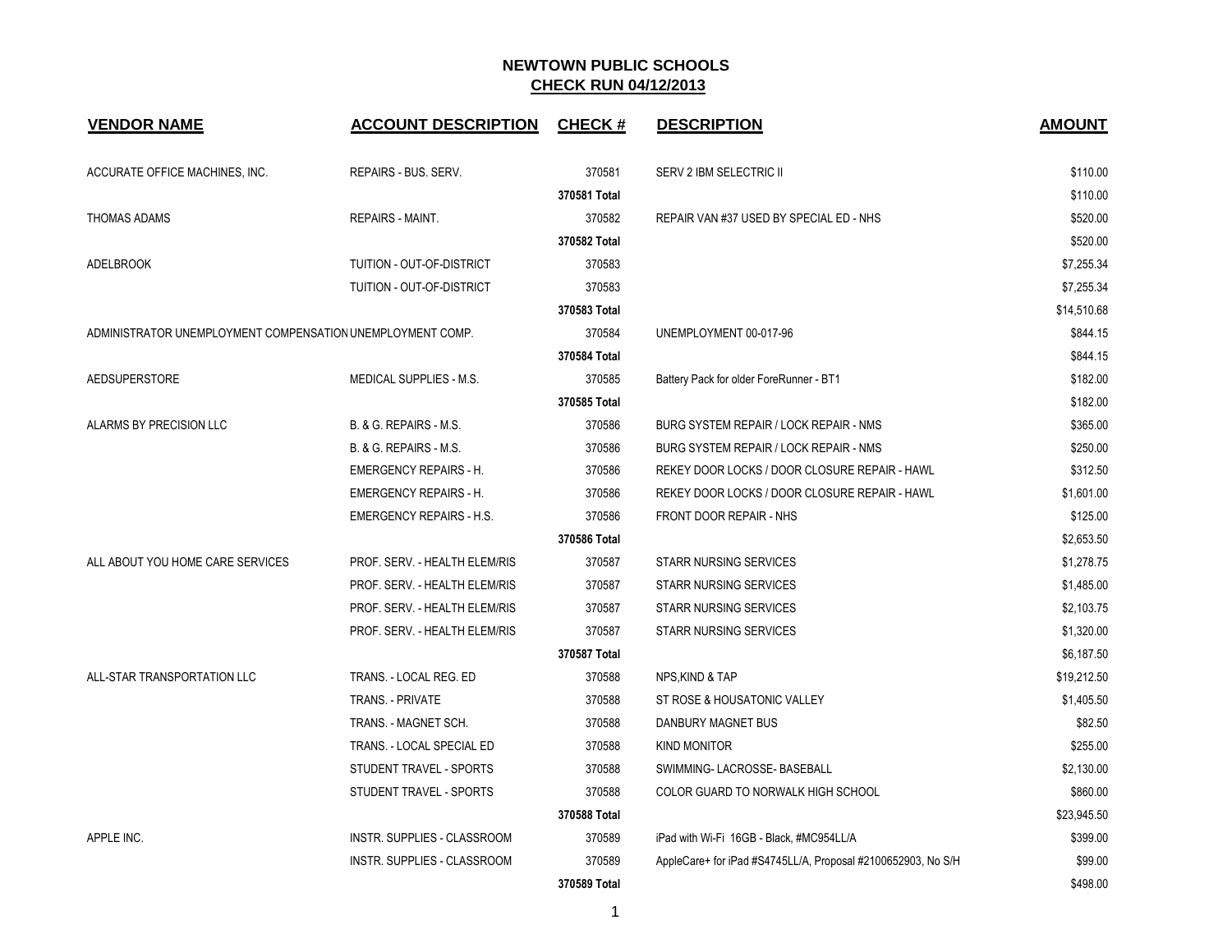| <b>VENDOR NAME</b>                                         | <b>ACCOUNT DESCRIPTION</b>         | <b>CHECK#</b> | <b>DESCRIPTION</b>                                           | <b>AMOUNT</b> |
|------------------------------------------------------------|------------------------------------|---------------|--------------------------------------------------------------|---------------|
| ACCURATE OFFICE MACHINES, INC.                             | REPAIRS - BUS. SERV.               | 370581        | SERV 2 IBM SELECTRIC II                                      | \$110.00      |
|                                                            |                                    | 370581 Total  |                                                              | \$110.00      |
| THOMAS ADAMS                                               | <b>REPAIRS - MAINT.</b>            | 370582        | REPAIR VAN #37 USED BY SPECIAL ED - NHS                      | \$520.00      |
|                                                            |                                    | 370582 Total  |                                                              | \$520.00      |
| <b>ADELBROOK</b>                                           | TUITION - OUT-OF-DISTRICT          | 370583        |                                                              | \$7,255.34    |
|                                                            | TUITION - OUT-OF-DISTRICT          | 370583        |                                                              | \$7.255.34    |
|                                                            |                                    | 370583 Total  |                                                              | \$14,510.68   |
| ADMINISTRATOR UNEMPLOYMENT COMPENSATION UNEMPLOYMENT COMP. |                                    | 370584        | UNEMPLOYMENT 00-017-96                                       | \$844.15      |
|                                                            |                                    | 370584 Total  |                                                              | \$844.15      |
| <b>AEDSUPERSTORE</b>                                       | MEDICAL SUPPLIES - M.S.            | 370585        | Battery Pack for older ForeRunner - BT1                      | \$182.00      |
|                                                            |                                    | 370585 Total  |                                                              | \$182.00      |
| ALARMS BY PRECISION LLC                                    | B. & G. REPAIRS - M.S.             | 370586        | BURG SYSTEM REPAIR / LOCK REPAIR - NMS                       | \$365.00      |
|                                                            | B. & G. REPAIRS - M.S.             | 370586        | BURG SYSTEM REPAIR / LOCK REPAIR - NMS                       | \$250.00      |
|                                                            | <b>EMERGENCY REPAIRS - H.</b>      | 370586        | REKEY DOOR LOCKS / DOOR CLOSURE REPAIR - HAWL                | \$312.50      |
|                                                            | <b>EMERGENCY REPAIRS - H.</b>      | 370586        | REKEY DOOR LOCKS / DOOR CLOSURE REPAIR - HAWL                | \$1,601.00    |
|                                                            | <b>EMERGENCY REPAIRS - H.S.</b>    | 370586        | FRONT DOOR REPAIR - NHS                                      | \$125.00      |
|                                                            |                                    | 370586 Total  |                                                              | \$2,653.50    |
| ALL ABOUT YOU HOME CARE SERVICES                           | PROF. SERV. - HEALTH ELEM/RIS      | 370587        | <b>STARR NURSING SERVICES</b>                                | \$1,278.75    |
|                                                            | PROF. SERV. - HEALTH ELEM/RIS      | 370587        | <b>STARR NURSING SERVICES</b>                                | \$1,485.00    |
|                                                            | PROF. SERV. - HEALTH ELEM/RIS      | 370587        | <b>STARR NURSING SERVICES</b>                                | \$2,103.75    |
|                                                            | PROF. SERV. - HEALTH ELEM/RIS      | 370587        | <b>STARR NURSING SERVICES</b>                                | \$1,320.00    |
|                                                            |                                    | 370587 Total  |                                                              | \$6,187.50    |
| ALL-STAR TRANSPORTATION LLC                                | TRANS. - LOCAL REG. ED             | 370588        | NPS.KIND & TAP                                               | \$19,212.50   |
|                                                            | <b>TRANS. - PRIVATE</b>            | 370588        | ST ROSE & HOUSATONIC VALLEY                                  | \$1,405.50    |
|                                                            | TRANS. - MAGNET SCH.               | 370588        | DANBURY MAGNET BUS                                           | \$82.50       |
|                                                            | TRANS. - LOCAL SPECIAL ED          | 370588        | <b>KIND MONITOR</b>                                          | \$255.00      |
|                                                            | STUDENT TRAVEL - SPORTS            | 370588        | SWIMMING- LACROSSE- BASEBALL                                 | \$2,130.00    |
|                                                            | STUDENT TRAVEL - SPORTS            | 370588        | COLOR GUARD TO NORWALK HIGH SCHOOL                           | \$860.00      |
|                                                            |                                    | 370588 Total  |                                                              | \$23,945.50   |
| APPLE INC.                                                 | <b>INSTR. SUPPLIES - CLASSROOM</b> | 370589        | iPad with Wi-Fi 16GB - Black, #MC954LL/A                     | \$399.00      |
|                                                            | INSTR. SUPPLIES - CLASSROOM        | 370589        | AppleCare+ for iPad #S4745LL/A, Proposal #2100652903, No S/H | \$99.00       |
|                                                            |                                    | 370589 Total  |                                                              | \$498.00      |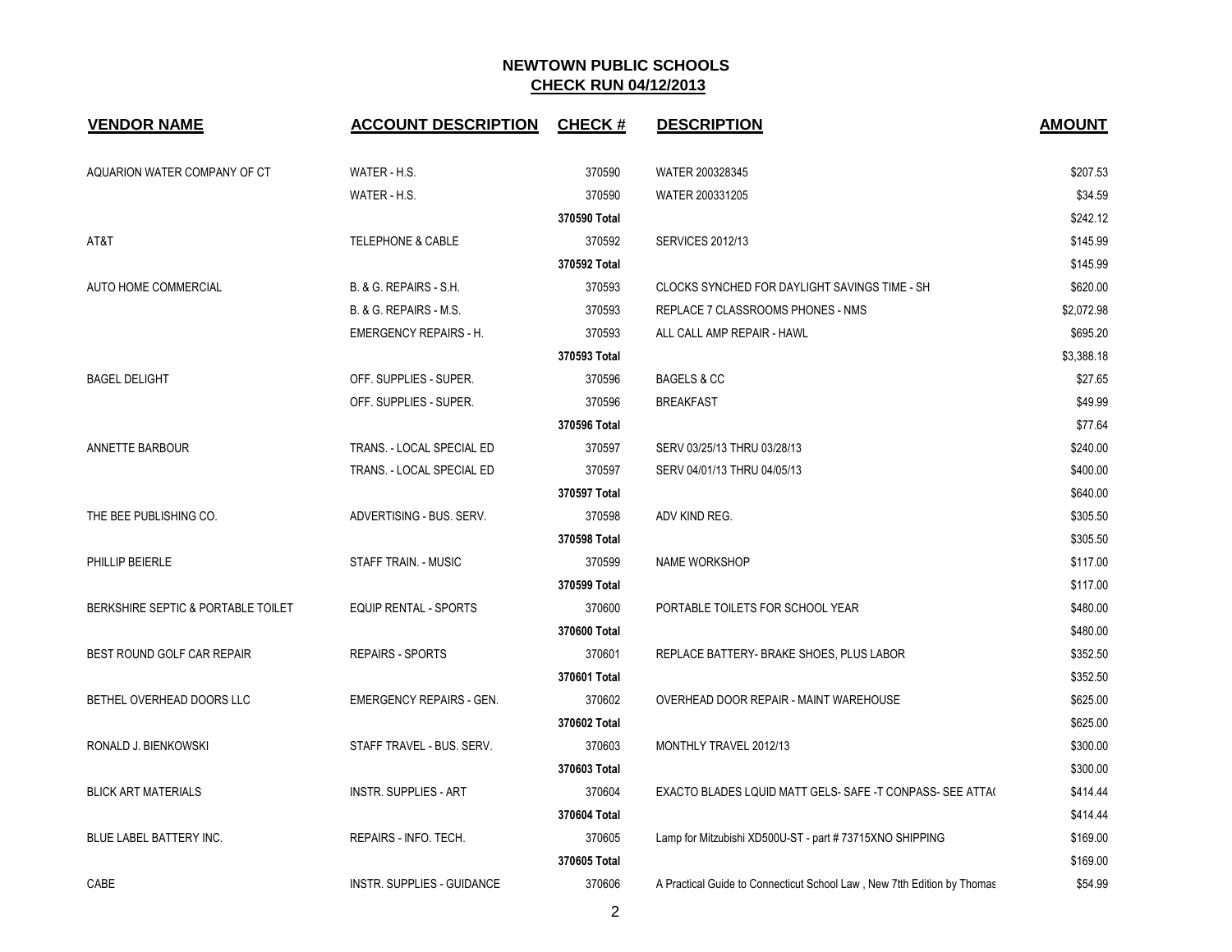| <b>VENDOR NAME</b>                 | <b>ACCOUNT DESCRIPTION</b>        | <b>CHECK#</b> | <b>DESCRIPTION</b>                                                      | <b>AMOUNT</b> |
|------------------------------------|-----------------------------------|---------------|-------------------------------------------------------------------------|---------------|
| AQUARION WATER COMPANY OF CT       | WATER - H.S.                      | 370590        | WATER 200328345                                                         | \$207.53      |
|                                    | WATER - H.S.                      | 370590        | WATER 200331205                                                         | \$34.59       |
|                                    |                                   | 370590 Total  |                                                                         | \$242.12      |
| AT&T                               | <b>TELEPHONE &amp; CABLE</b>      | 370592        | <b>SERVICES 2012/13</b>                                                 | \$145.99      |
|                                    |                                   | 370592 Total  |                                                                         | \$145.99      |
| AUTO HOME COMMERCIAL               | B. & G. REPAIRS - S.H.            | 370593        | CLOCKS SYNCHED FOR DAYLIGHT SAVINGS TIME - SH                           | \$620.00      |
|                                    | B. & G. REPAIRS - M.S.            | 370593        | REPLACE 7 CLASSROOMS PHONES - NMS                                       | \$2,072.98    |
|                                    | <b>EMERGENCY REPAIRS - H.</b>     | 370593        | ALL CALL AMP REPAIR - HAWL                                              | \$695.20      |
|                                    |                                   | 370593 Total  |                                                                         | \$3,388.18    |
| <b>BAGEL DELIGHT</b>               | OFF. SUPPLIES - SUPER.            | 370596        | <b>BAGELS &amp; CC</b>                                                  | \$27.65       |
|                                    | OFF. SUPPLIES - SUPER.            | 370596        | <b>BREAKFAST</b>                                                        | \$49.99       |
|                                    |                                   | 370596 Total  |                                                                         | \$77.64       |
| ANNETTE BARBOUR                    | TRANS. - LOCAL SPECIAL ED         | 370597        | SERV 03/25/13 THRU 03/28/13                                             | \$240.00      |
|                                    | TRANS. - LOCAL SPECIAL ED         | 370597        | SERV 04/01/13 THRU 04/05/13                                             | \$400.00      |
|                                    |                                   | 370597 Total  |                                                                         | \$640.00      |
| THE BEE PUBLISHING CO.             | ADVERTISING - BUS. SERV.          | 370598        | ADV KIND REG.                                                           | \$305.50      |
|                                    |                                   | 370598 Total  |                                                                         | \$305.50      |
| PHILLIP BEIERLE                    | STAFF TRAIN. - MUSIC              | 370599        | <b>NAME WORKSHOP</b>                                                    | \$117.00      |
|                                    |                                   | 370599 Total  |                                                                         | \$117.00      |
| BERKSHIRE SEPTIC & PORTABLE TOILET | <b>EQUIP RENTAL - SPORTS</b>      | 370600        | PORTABLE TOILETS FOR SCHOOL YEAR                                        | \$480.00      |
|                                    |                                   | 370600 Total  |                                                                         | \$480.00      |
| BEST ROUND GOLF CAR REPAIR         | <b>REPAIRS - SPORTS</b>           | 370601        | REPLACE BATTERY- BRAKE SHOES, PLUS LABOR                                | \$352.50      |
|                                    |                                   | 370601 Total  |                                                                         | \$352.50      |
| BETHEL OVERHEAD DOORS LLC          | <b>EMERGENCY REPAIRS - GEN.</b>   | 370602        | OVERHEAD DOOR REPAIR - MAINT WAREHOUSE                                  | \$625.00      |
|                                    |                                   | 370602 Total  |                                                                         | \$625.00      |
| RONALD J. BIENKOWSKI               | STAFF TRAVEL - BUS. SERV.         | 370603        | MONTHLY TRAVEL 2012/13                                                  | \$300.00      |
|                                    |                                   | 370603 Total  |                                                                         | \$300.00      |
| <b>BLICK ART MATERIALS</b>         | <b>INSTR. SUPPLIES - ART</b>      | 370604        | EXACTO BLADES LQUID MATT GELS- SAFE -T CONPASS- SEE ATTA(               | \$414.44      |
|                                    |                                   | 370604 Total  |                                                                         | \$414.44      |
| BLUE LABEL BATTERY INC.            | REPAIRS - INFO. TECH.             | 370605        | Lamp for Mitzubishi XD500U-ST - part #73715XNO SHIPPING                 | \$169.00      |
|                                    |                                   | 370605 Total  |                                                                         | \$169.00      |
| CABE                               | <b>INSTR. SUPPLIES - GUIDANCE</b> | 370606        | A Practical Guide to Connecticut School Law, New 7tth Edition by Thomas | \$54.99       |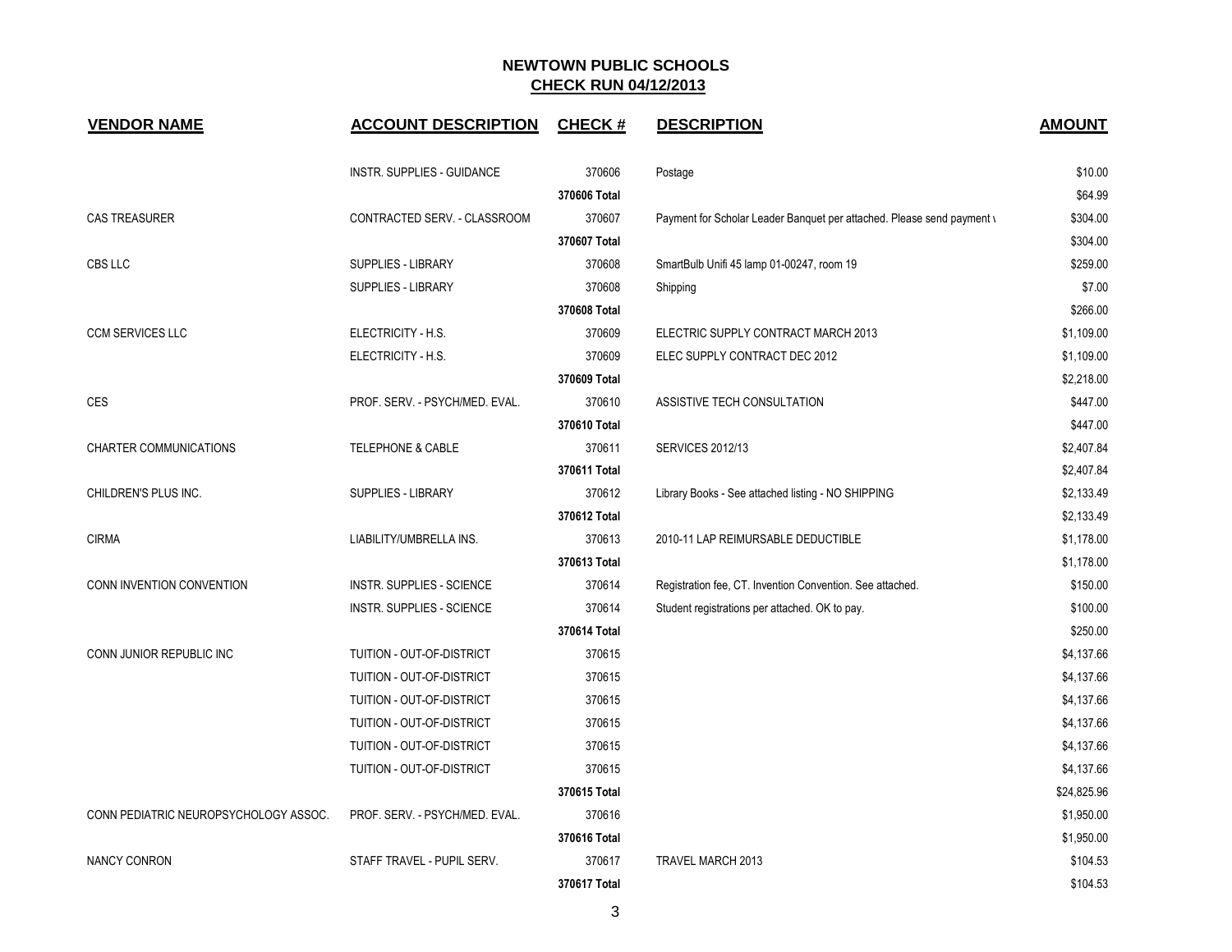| <b>VENDOR NAME</b>                    | <b>ACCOUNT DESCRIPTION</b>       | <b>CHECK#</b> | <b>DESCRIPTION</b>                                                     | <b>AMOUNT</b> |
|---------------------------------------|----------------------------------|---------------|------------------------------------------------------------------------|---------------|
|                                       | INSTR. SUPPLIES - GUIDANCE       | 370606        | Postage                                                                | \$10.00       |
|                                       |                                  | 370606 Total  |                                                                        | \$64.99       |
| <b>CAS TREASURER</b>                  | CONTRACTED SERV. - CLASSROOM     | 370607        | Payment for Scholar Leader Banquet per attached. Please send payment \ | \$304.00      |
|                                       |                                  | 370607 Total  |                                                                        | \$304.00      |
| CBS LLC                               | <b>SUPPLIES - LIBRARY</b>        | 370608        | SmartBulb Unifi 45 lamp 01-00247, room 19                              | \$259.00      |
|                                       | <b>SUPPLIES - LIBRARY</b>        | 370608        | Shipping                                                               | \$7.00        |
|                                       |                                  | 370608 Total  |                                                                        | \$266.00      |
| <b>CCM SERVICES LLC</b>               | ELECTRICITY - H.S.               | 370609        | ELECTRIC SUPPLY CONTRACT MARCH 2013                                    | \$1,109.00    |
|                                       | ELECTRICITY - H.S.               | 370609        | ELEC SUPPLY CONTRACT DEC 2012                                          | \$1,109.00    |
|                                       |                                  | 370609 Total  |                                                                        | \$2,218.00    |
| <b>CES</b>                            | PROF. SERV. - PSYCH/MED. EVAL.   | 370610        | ASSISTIVE TECH CONSULTATION                                            | \$447.00      |
|                                       |                                  | 370610 Total  |                                                                        | \$447.00      |
| <b>CHARTER COMMUNICATIONS</b>         | TELEPHONE & CABLE                | 370611        | <b>SERVICES 2012/13</b>                                                | \$2,407.84    |
|                                       |                                  | 370611 Total  |                                                                        | \$2,407.84    |
| CHILDREN'S PLUS INC.                  | <b>SUPPLIES - LIBRARY</b>        | 370612        | Library Books - See attached listing - NO SHIPPING                     | \$2,133.49    |
|                                       |                                  | 370612 Total  |                                                                        | \$2,133.49    |
| <b>CIRMA</b>                          | LIABILITY/UMBRELLA INS.          | 370613        | 2010-11 LAP REIMURSABLE DEDUCTIBLE                                     | \$1,178.00    |
|                                       |                                  | 370613 Total  |                                                                        | \$1,178.00    |
| CONN INVENTION CONVENTION             | <b>INSTR. SUPPLIES - SCIENCE</b> | 370614        | Registration fee, CT. Invention Convention. See attached.              | \$150.00      |
|                                       | <b>INSTR. SUPPLIES - SCIENCE</b> | 370614        | Student registrations per attached. OK to pay.                         | \$100.00      |
|                                       |                                  | 370614 Total  |                                                                        | \$250.00      |
| CONN JUNIOR REPUBLIC INC              | TUITION - OUT-OF-DISTRICT        | 370615        |                                                                        | \$4,137.66    |
|                                       | TUITION - OUT-OF-DISTRICT        | 370615        |                                                                        | \$4,137.66    |
|                                       | TUITION - OUT-OF-DISTRICT        | 370615        |                                                                        | \$4,137.66    |
|                                       | TUITION - OUT-OF-DISTRICT        | 370615        |                                                                        | \$4,137.66    |
|                                       | TUITION - OUT-OF-DISTRICT        | 370615        |                                                                        | \$4,137.66    |
|                                       | TUITION - OUT-OF-DISTRICT        | 370615        |                                                                        | \$4,137.66    |
|                                       |                                  | 370615 Total  |                                                                        | \$24,825.96   |
| CONN PEDIATRIC NEUROPSYCHOLOGY ASSOC. | PROF. SERV. - PSYCH/MED. EVAL.   | 370616        |                                                                        | \$1,950.00    |
|                                       |                                  | 370616 Total  |                                                                        | \$1,950.00    |
| <b>NANCY CONRON</b>                   | STAFF TRAVEL - PUPIL SERV.       | 370617        | TRAVEL MARCH 2013                                                      | \$104.53      |
|                                       |                                  | 370617 Total  |                                                                        | \$104.53      |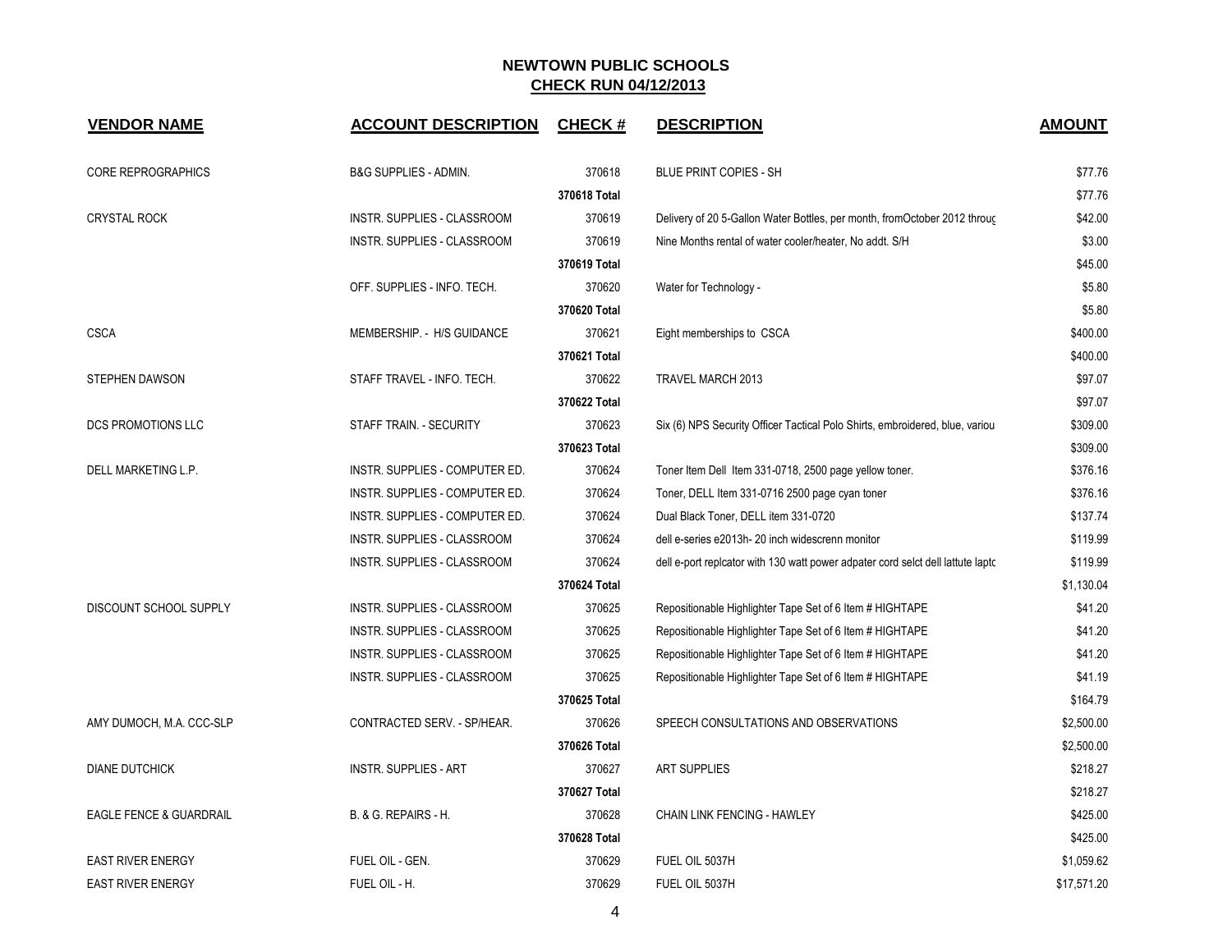| <b>VENDOR NAME</b>                 | <b>ACCOUNT DESCRIPTION</b>     | <b>CHECK#</b> | <b>DESCRIPTION</b>                                                              | <b>AMOUNT</b> |
|------------------------------------|--------------------------------|---------------|---------------------------------------------------------------------------------|---------------|
| <b>CORE REPROGRAPHICS</b>          | B&G SUPPLIES - ADMIN.          | 370618        | <b>BLUE PRINT COPIES - SH</b>                                                   | \$77.76       |
|                                    |                                | 370618 Total  |                                                                                 | \$77.76       |
| <b>CRYSTAL ROCK</b>                | INSTR. SUPPLIES - CLASSROOM    | 370619        | Delivery of 20 5-Gallon Water Bottles, per month, from October 2012 through     | \$42.00       |
|                                    | INSTR. SUPPLIES - CLASSROOM    | 370619        | Nine Months rental of water cooler/heater, No addt. S/H                         | \$3.00        |
|                                    |                                | 370619 Total  |                                                                                 | \$45.00       |
|                                    | OFF. SUPPLIES - INFO. TECH.    | 370620        | Water for Technology -                                                          | \$5.80        |
|                                    |                                | 370620 Total  |                                                                                 | \$5.80        |
| <b>CSCA</b>                        | MEMBERSHIP. - H/S GUIDANCE     | 370621        | Eight memberships to CSCA                                                       | \$400.00      |
|                                    |                                | 370621 Total  |                                                                                 | \$400.00      |
| <b>STEPHEN DAWSON</b>              | STAFF TRAVEL - INFO. TECH.     | 370622        | TRAVEL MARCH 2013                                                               | \$97.07       |
|                                    |                                | 370622 Total  |                                                                                 | \$97.07       |
| DCS PROMOTIONS LLC                 | STAFF TRAIN. - SECURITY        | 370623        | Six (6) NPS Security Officer Tactical Polo Shirts, embroidered, blue, variou    | \$309.00      |
|                                    |                                | 370623 Total  |                                                                                 | \$309.00      |
| DELL MARKETING L.P.                | INSTR. SUPPLIES - COMPUTER ED. | 370624        | Toner Item Dell Item 331-0718, 2500 page yellow toner.                          | \$376.16      |
|                                    | INSTR. SUPPLIES - COMPUTER ED. | 370624        | Toner, DELL Item 331-0716 2500 page cyan toner                                  | \$376.16      |
|                                    | INSTR. SUPPLIES - COMPUTER ED. | 370624        | Dual Black Toner, DELL item 331-0720                                            | \$137.74      |
|                                    | INSTR. SUPPLIES - CLASSROOM    | 370624        | dell e-series e2013h-20 inch widescrenn monitor                                 | \$119.99      |
|                                    | INSTR. SUPPLIES - CLASSROOM    | 370624        | dell e-port replcator with 130 watt power adpater cord selct dell lattute lapto | \$119.99      |
|                                    |                                | 370624 Total  |                                                                                 | \$1,130.04    |
| DISCOUNT SCHOOL SUPPLY             | INSTR. SUPPLIES - CLASSROOM    | 370625        | Repositionable Highlighter Tape Set of 6 Item # HIGHTAPE                        | \$41.20       |
|                                    | INSTR. SUPPLIES - CLASSROOM    | 370625        | Repositionable Highlighter Tape Set of 6 Item # HIGHTAPE                        | \$41.20       |
|                                    | INSTR. SUPPLIES - CLASSROOM    | 370625        | Repositionable Highlighter Tape Set of 6 Item # HIGHTAPE                        | \$41.20       |
|                                    | INSTR. SUPPLIES - CLASSROOM    | 370625        | Repositionable Highlighter Tape Set of 6 Item # HIGHTAPE                        | \$41.19       |
|                                    |                                | 370625 Total  |                                                                                 | \$164.79      |
| AMY DUMOCH, M.A. CCC-SLP           | CONTRACTED SERV. - SP/HEAR.    | 370626        | SPEECH CONSULTATIONS AND OBSERVATIONS                                           | \$2,500.00    |
|                                    |                                | 370626 Total  |                                                                                 | \$2,500.00    |
| <b>DIANE DUTCHICK</b>              | <b>INSTR. SUPPLIES - ART</b>   | 370627        | <b>ART SUPPLIES</b>                                                             | \$218.27      |
|                                    |                                | 370627 Total  |                                                                                 | \$218.27      |
| <b>EAGLE FENCE &amp; GUARDRAIL</b> | B. & G. REPAIRS - H.           | 370628        | CHAIN LINK FENCING - HAWLEY                                                     | \$425.00      |
|                                    |                                | 370628 Total  |                                                                                 | \$425.00      |
| <b>EAST RIVER ENERGY</b>           | FUEL OIL - GEN.                | 370629        | FUEL OIL 5037H                                                                  | \$1,059.62    |
| <b>EAST RIVER ENERGY</b>           | FUEL OIL - H.                  | 370629        | FUEL OIL 5037H                                                                  | \$17,571.20   |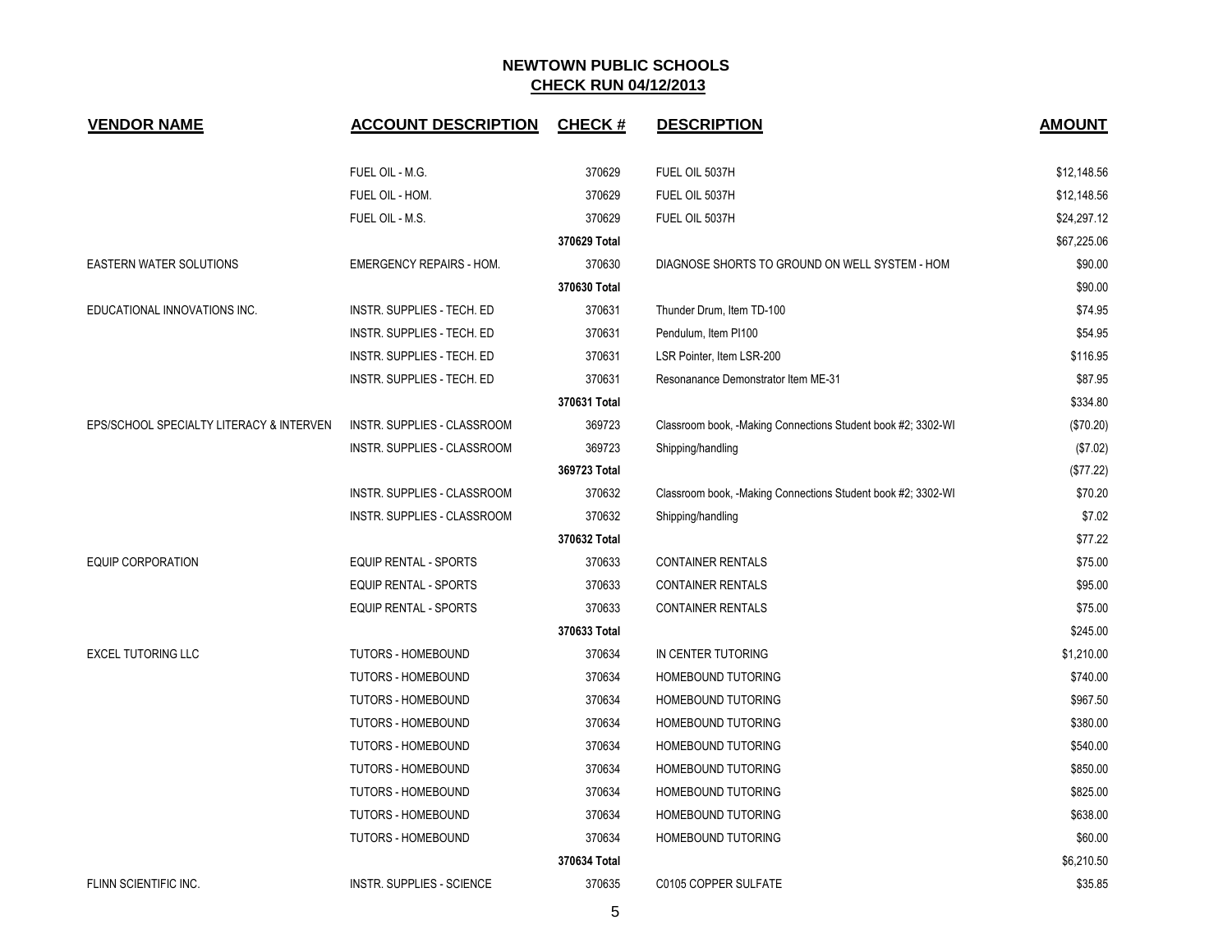| <b>VENDOR NAME</b>                       | <b>ACCOUNT DESCRIPTION</b>         | <b>CHECK#</b> | <b>DESCRIPTION</b>                                           | <b>AMOUNT</b> |
|------------------------------------------|------------------------------------|---------------|--------------------------------------------------------------|---------------|
|                                          |                                    |               |                                                              |               |
|                                          | FUEL OIL - M.G.                    | 370629        | FUEL OIL 5037H                                               | \$12,148.56   |
|                                          | FUEL OIL - HOM.                    | 370629        | FUEL OIL 5037H                                               | \$12,148.56   |
|                                          | FUEL OIL - M.S.                    | 370629        | FUEL OIL 5037H                                               | \$24,297.12   |
|                                          |                                    | 370629 Total  |                                                              | \$67,225.06   |
| EASTERN WATER SOLUTIONS                  | <b>EMERGENCY REPAIRS - HOM.</b>    | 370630        | DIAGNOSE SHORTS TO GROUND ON WELL SYSTEM - HOM               | \$90.00       |
|                                          |                                    | 370630 Total  |                                                              | \$90.00       |
| EDUCATIONAL INNOVATIONS INC.             | INSTR. SUPPLIES - TECH. ED         | 370631        | Thunder Drum, Item TD-100                                    | \$74.95       |
|                                          | INSTR. SUPPLIES - TECH. ED         | 370631        | Pendulum, Item PI100                                         | \$54.95       |
|                                          | INSTR. SUPPLIES - TECH. ED         | 370631        | LSR Pointer, Item LSR-200                                    | \$116.95      |
|                                          | INSTR. SUPPLIES - TECH. ED         | 370631        | Resonanance Demonstrator Item ME-31                          | \$87.95       |
|                                          |                                    | 370631 Total  |                                                              | \$334.80      |
| EPS/SCHOOL SPECIALTY LITERACY & INTERVEN | <b>INSTR. SUPPLIES - CLASSROOM</b> | 369723        | Classroom book, -Making Connections Student book #2; 3302-WI | (\$70.20)     |
|                                          | INSTR. SUPPLIES - CLASSROOM        | 369723        | Shipping/handling                                            | (\$7.02)      |
|                                          |                                    | 369723 Total  |                                                              | (\$77.22)     |
|                                          | INSTR. SUPPLIES - CLASSROOM        | 370632        | Classroom book, -Making Connections Student book #2; 3302-WI | \$70.20       |
|                                          | <b>INSTR. SUPPLIES - CLASSROOM</b> | 370632        | Shipping/handling                                            | \$7.02        |
|                                          |                                    | 370632 Total  |                                                              | \$77.22       |
| <b>EQUIP CORPORATION</b>                 | EQUIP RENTAL - SPORTS              | 370633        | <b>CONTAINER RENTALS</b>                                     | \$75.00       |
|                                          | <b>EQUIP RENTAL - SPORTS</b>       | 370633        | <b>CONTAINER RENTALS</b>                                     | \$95.00       |
|                                          | <b>EQUIP RENTAL - SPORTS</b>       | 370633        | <b>CONTAINER RENTALS</b>                                     | \$75.00       |
|                                          |                                    | 370633 Total  |                                                              | \$245.00      |
| <b>EXCEL TUTORING LLC</b>                | <b>TUTORS - HOMEBOUND</b>          | 370634        | IN CENTER TUTORING                                           | \$1,210.00    |
|                                          | <b>TUTORS - HOMEBOUND</b>          | 370634        | HOMEBOUND TUTORING                                           | \$740.00      |
|                                          | <b>TUTORS - HOMEBOUND</b>          | 370634        | HOMEBOUND TUTORING                                           | \$967.50      |
|                                          | <b>TUTORS - HOMEBOUND</b>          | 370634        | <b>HOMEBOUND TUTORING</b>                                    | \$380.00      |
|                                          | <b>TUTORS - HOMEBOUND</b>          | 370634        | HOMEBOUND TUTORING                                           | \$540.00      |
|                                          | <b>TUTORS - HOMEBOUND</b>          | 370634        | HOMEBOUND TUTORING                                           | \$850.00      |
|                                          | <b>TUTORS - HOMEBOUND</b>          | 370634        | HOMEBOUND TUTORING                                           | \$825.00      |
|                                          | <b>TUTORS - HOMEBOUND</b>          | 370634        | <b>HOMEBOUND TUTORING</b>                                    | \$638.00      |
|                                          | <b>TUTORS - HOMEBOUND</b>          | 370634        | HOMEBOUND TUTORING                                           | \$60.00       |
|                                          |                                    | 370634 Total  |                                                              | \$6,210.50    |
| FLINN SCIENTIFIC INC.                    | <b>INSTR. SUPPLIES - SCIENCE</b>   | 370635        | C0105 COPPER SULFATE                                         | \$35.85       |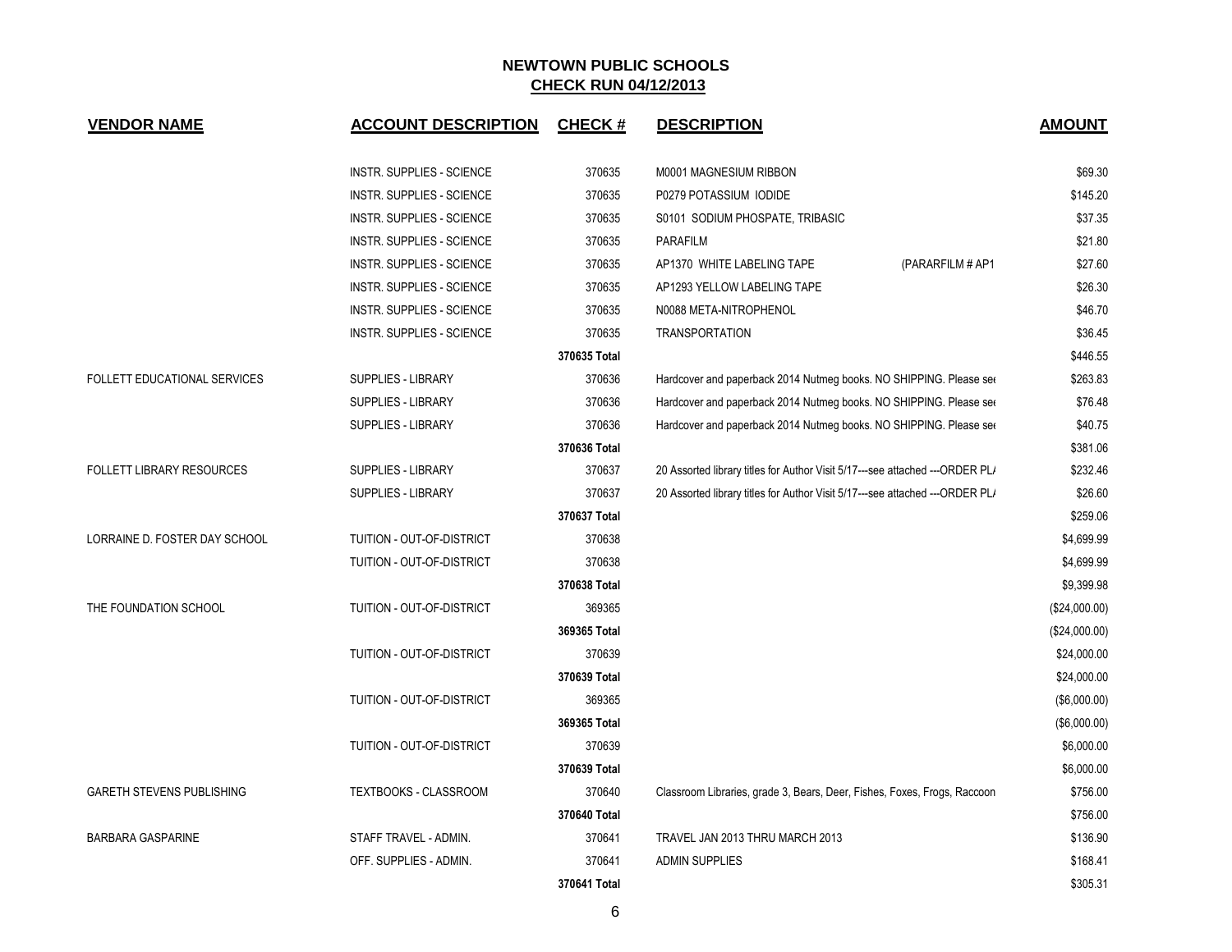| <b>VENDOR NAME</b>               | <b>ACCOUNT DESCRIPTION</b>       | <b>CHECK#</b> | <b>DESCRIPTION</b>                                                            | <b>AMOUNT</b> |
|----------------------------------|----------------------------------|---------------|-------------------------------------------------------------------------------|---------------|
|                                  | <b>INSTR. SUPPLIES - SCIENCE</b> | 370635        | M0001 MAGNESIUM RIBBON                                                        | \$69.30       |
|                                  | <b>INSTR. SUPPLIES - SCIENCE</b> | 370635        | P0279 POTASSIUM IODIDE                                                        | \$145.20      |
|                                  | INSTR. SUPPLIES - SCIENCE        | 370635        | S0101 SODIUM PHOSPATE, TRIBASIC                                               | \$37.35       |
|                                  | INSTR. SUPPLIES - SCIENCE        | 370635        | <b>PARAFILM</b>                                                               | \$21.80       |
|                                  | INSTR. SUPPLIES - SCIENCE        | 370635        | AP1370 WHITE LABELING TAPE<br>(PARARFILM # AP1                                | \$27.60       |
|                                  | <b>INSTR. SUPPLIES - SCIENCE</b> | 370635        | AP1293 YELLOW LABELING TAPE                                                   | \$26.30       |
|                                  | <b>INSTR. SUPPLIES - SCIENCE</b> | 370635        | N0088 META-NITROPHENOL                                                        | \$46.70       |
|                                  | INSTR. SUPPLIES - SCIENCE        | 370635        | <b>TRANSPORTATION</b>                                                         | \$36.45       |
|                                  |                                  | 370635 Total  |                                                                               | \$446.55      |
| FOLLETT EDUCATIONAL SERVICES     | <b>SUPPLIES - LIBRARY</b>        | 370636        | Hardcover and paperback 2014 Nutmeg books. NO SHIPPING. Please see            | \$263.83      |
|                                  | SUPPLIES - LIBRARY               | 370636        | Hardcover and paperback 2014 Nutmeg books. NO SHIPPING. Please ser            | \$76.48       |
|                                  | SUPPLIES - LIBRARY               | 370636        | Hardcover and paperback 2014 Nutmeg books. NO SHIPPING. Please see            | \$40.75       |
|                                  |                                  | 370636 Total  |                                                                               | \$381.06      |
| <b>FOLLETT LIBRARY RESOURCES</b> | SUPPLIES - LIBRARY               | 370637        | 20 Assorted library titles for Author Visit 5/17---see attached ---ORDER PL/  | \$232.46      |
|                                  | <b>SUPPLIES - LIBRARY</b>        | 370637        | 20 Assorted library titles for Author Visit 5/17---see attached --- ORDER PL/ | \$26.60       |
|                                  |                                  | 370637 Total  |                                                                               | \$259.06      |
| LORRAINE D. FOSTER DAY SCHOOL    | TUITION - OUT-OF-DISTRICT        | 370638        |                                                                               | \$4,699.99    |
|                                  | TUITION - OUT-OF-DISTRICT        | 370638        |                                                                               | \$4,699.99    |
|                                  |                                  | 370638 Total  |                                                                               | \$9,399.98    |
| THE FOUNDATION SCHOOL            | TUITION - OUT-OF-DISTRICT        | 369365        |                                                                               | (\$24,000.00) |
|                                  |                                  | 369365 Total  |                                                                               | (\$24,000.00) |
|                                  | TUITION - OUT-OF-DISTRICT        | 370639        |                                                                               | \$24,000.00   |
|                                  |                                  | 370639 Total  |                                                                               | \$24,000.00   |
|                                  | TUITION - OUT-OF-DISTRICT        | 369365        |                                                                               | (\$6,000.00)  |
|                                  |                                  | 369365 Total  |                                                                               | (\$6,000.00)  |
|                                  | TUITION - OUT-OF-DISTRICT        | 370639        |                                                                               | \$6,000.00    |
|                                  |                                  | 370639 Total  |                                                                               | \$6,000.00    |
| <b>GARETH STEVENS PUBLISHING</b> | TEXTBOOKS - CLASSROOM            | 370640        | Classroom Libraries, grade 3, Bears, Deer, Fishes, Foxes, Frogs, Raccoon      | \$756.00      |
|                                  |                                  | 370640 Total  |                                                                               | \$756.00      |
| <b>BARBARA GASPARINE</b>         | STAFF TRAVEL - ADMIN.            | 370641        | TRAVEL JAN 2013 THRU MARCH 2013                                               | \$136.90      |
|                                  | OFF. SUPPLIES - ADMIN.           | 370641        | <b>ADMIN SUPPLIES</b>                                                         | \$168.41      |
|                                  |                                  | 370641 Total  |                                                                               | \$305.31      |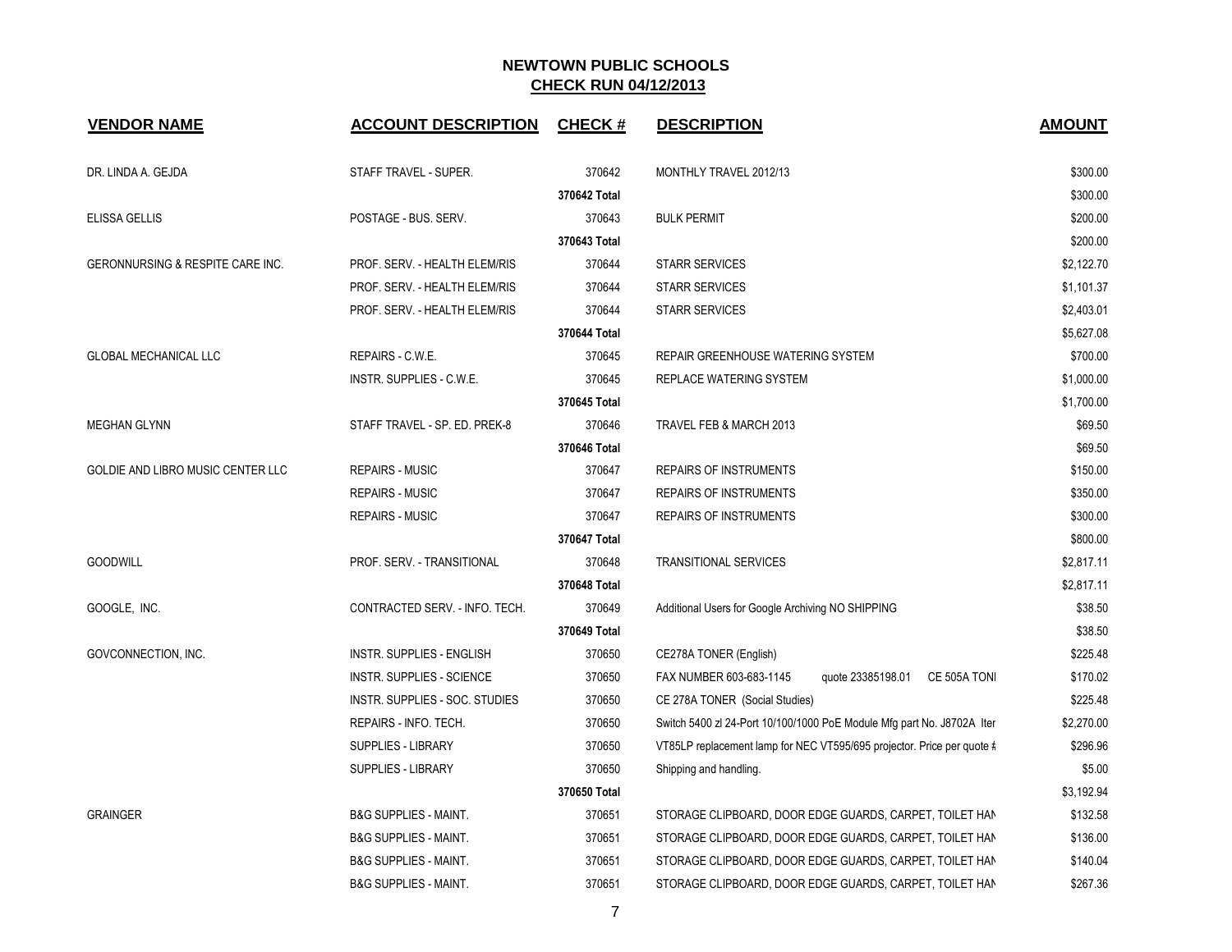| <b>VENDOR NAME</b>                | <b>ACCOUNT DESCRIPTION</b>       | <b>CHECK#</b> | <b>DESCRIPTION</b>                                                     | <b>AMOUNT</b> |
|-----------------------------------|----------------------------------|---------------|------------------------------------------------------------------------|---------------|
| DR. LINDA A. GEJDA                | STAFF TRAVEL - SUPER.            | 370642        | MONTHLY TRAVEL 2012/13                                                 | \$300.00      |
|                                   |                                  | 370642 Total  |                                                                        | \$300.00      |
| ELISSA GELLIS                     | POSTAGE - BUS. SERV.             | 370643        | <b>BULK PERMIT</b>                                                     | \$200.00      |
|                                   |                                  | 370643 Total  |                                                                        | \$200.00      |
| GERONNURSING & RESPITE CARE INC.  | PROF. SERV. - HEALTH ELEM/RIS    | 370644        | <b>STARR SERVICES</b>                                                  | \$2,122.70    |
|                                   | PROF. SERV. - HEALTH ELEM/RIS    | 370644        | <b>STARR SERVICES</b>                                                  | \$1,101.37    |
|                                   | PROF. SERV. - HEALTH ELEM/RIS    | 370644        | <b>STARR SERVICES</b>                                                  | \$2,403.01    |
|                                   |                                  | 370644 Total  |                                                                        | \$5,627.08    |
| <b>GLOBAL MECHANICAL LLC</b>      | REPAIRS - C.W.E.                 | 370645        | REPAIR GREENHOUSE WATERING SYSTEM                                      | \$700.00      |
|                                   | INSTR. SUPPLIES - C.W.E.         | 370645        | REPLACE WATERING SYSTEM                                                | \$1,000.00    |
|                                   |                                  | 370645 Total  |                                                                        | \$1,700.00    |
| <b>MEGHAN GLYNN</b>               | STAFF TRAVEL - SP. ED. PREK-8    | 370646        | TRAVEL FEB & MARCH 2013                                                | \$69.50       |
|                                   |                                  | 370646 Total  |                                                                        | \$69.50       |
| GOLDIE AND LIBRO MUSIC CENTER LLC | <b>REPAIRS - MUSIC</b>           | 370647        | <b>REPAIRS OF INSTRUMENTS</b>                                          | \$150.00      |
|                                   | <b>REPAIRS - MUSIC</b>           | 370647        | <b>REPAIRS OF INSTRUMENTS</b>                                          | \$350.00      |
|                                   | <b>REPAIRS - MUSIC</b>           | 370647        | <b>REPAIRS OF INSTRUMENTS</b>                                          | \$300.00      |
|                                   |                                  | 370647 Total  |                                                                        | \$800.00      |
| <b>GOODWILL</b>                   | PROF. SERV. - TRANSITIONAL       | 370648        | <b>TRANSITIONAL SERVICES</b>                                           | \$2,817.11    |
|                                   |                                  | 370648 Total  |                                                                        | \$2,817.11    |
| GOOGLE, INC.                      | CONTRACTED SERV. - INFO. TECH.   | 370649        | Additional Users for Google Archiving NO SHIPPING                      | \$38.50       |
|                                   |                                  | 370649 Total  |                                                                        | \$38.50       |
| GOVCONNECTION, INC.               | <b>INSTR. SUPPLIES - ENGLISH</b> | 370650        | CE278A TONER (English)                                                 | \$225.48      |
|                                   | <b>INSTR. SUPPLIES - SCIENCE</b> | 370650        | FAX NUMBER 603-683-1145<br>quote 23385198.01 CE 505A TON               | \$170.02      |
|                                   | INSTR. SUPPLIES - SOC. STUDIES   | 370650        | CE 278A TONER (Social Studies)                                         | \$225.48      |
|                                   | REPAIRS - INFO. TECH.            | 370650        | Switch 5400 zl 24-Port 10/100/1000 PoE Module Mfg part No. J8702A Iter | \$2,270.00    |
|                                   | <b>SUPPLIES - LIBRARY</b>        | 370650        | VT85LP replacement lamp for NEC VT595/695 projector. Price per quote # | \$296.96      |
|                                   | SUPPLIES - LIBRARY               | 370650        | Shipping and handling.                                                 | \$5.00        |
|                                   |                                  | 370650 Total  |                                                                        | \$3,192.94    |
| <b>GRAINGER</b>                   | <b>B&amp;G SUPPLIES - MAINT.</b> | 370651        | STORAGE CLIPBOARD, DOOR EDGE GUARDS, CARPET, TOILET HAN                | \$132.58      |
|                                   | <b>B&amp;G SUPPLIES - MAINT.</b> | 370651        | STORAGE CLIPBOARD, DOOR EDGE GUARDS, CARPET, TOILET HAN                | \$136.00      |
|                                   | <b>B&amp;G SUPPLIES - MAINT.</b> | 370651        | STORAGE CLIPBOARD, DOOR EDGE GUARDS, CARPET, TOILET HAN                | \$140.04      |
|                                   | <b>B&amp;G SUPPLIES - MAINT.</b> | 370651        | STORAGE CLIPBOARD, DOOR EDGE GUARDS, CARPET, TOILET HAN                | \$267.36      |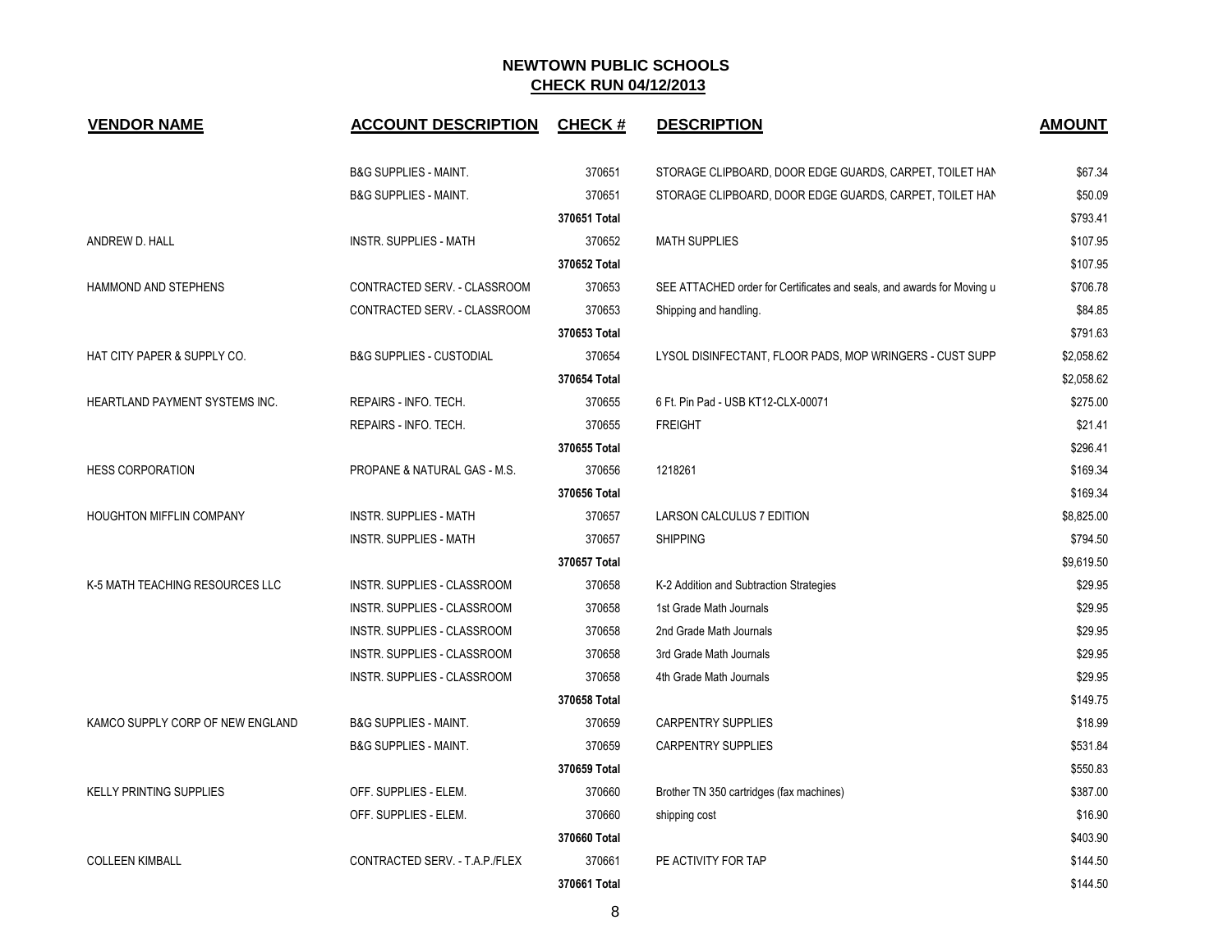| <b>VENDOR NAME</b>                    | <b>ACCOUNT DESCRIPTION</b>          | <b>CHECK#</b> | <b>DESCRIPTION</b>                                                     | <b>AMOUNT</b> |
|---------------------------------------|-------------------------------------|---------------|------------------------------------------------------------------------|---------------|
|                                       | <b>B&amp;G SUPPLIES - MAINT.</b>    | 370651        | STORAGE CLIPBOARD, DOOR EDGE GUARDS, CARPET, TOILET HAN                | \$67.34       |
|                                       | <b>B&amp;G SUPPLIES - MAINT.</b>    | 370651        | STORAGE CLIPBOARD, DOOR EDGE GUARDS, CARPET, TOILET HAN                | \$50.09       |
|                                       |                                     | 370651 Total  |                                                                        | \$793.41      |
| ANDREW D. HALL                        | <b>INSTR. SUPPLIES - MATH</b>       | 370652        | <b>MATH SUPPLIES</b>                                                   | \$107.95      |
|                                       |                                     | 370652 Total  |                                                                        | \$107.95      |
| HAMMOND AND STEPHENS                  | CONTRACTED SERV. - CLASSROOM        | 370653        | SEE ATTACHED order for Certificates and seals, and awards for Moving u | \$706.78      |
|                                       | CONTRACTED SERV. - CLASSROOM        | 370653        | Shipping and handling.                                                 | \$84.85       |
|                                       |                                     | 370653 Total  |                                                                        | \$791.63      |
| HAT CITY PAPER & SUPPLY CO.           | <b>B&amp;G SUPPLIES - CUSTODIAL</b> | 370654        | LYSOL DISINFECTANT, FLOOR PADS, MOP WRINGERS - CUST SUPP               | \$2,058.62    |
|                                       |                                     | 370654 Total  |                                                                        | \$2,058.62    |
| <b>HEARTLAND PAYMENT SYSTEMS INC.</b> | REPAIRS - INFO. TECH.               | 370655        | 6 Ft. Pin Pad - USB KT12-CLX-00071                                     | \$275.00      |
|                                       | REPAIRS - INFO. TECH.               | 370655        | <b>FREIGHT</b>                                                         | \$21.41       |
|                                       |                                     | 370655 Total  |                                                                        | \$296.41      |
| <b>HESS CORPORATION</b>               | PROPANE & NATURAL GAS - M.S.        | 370656        | 1218261                                                                | \$169.34      |
|                                       |                                     | 370656 Total  |                                                                        | \$169.34      |
| HOUGHTON MIFFLIN COMPANY              | <b>INSTR. SUPPLIES - MATH</b>       | 370657        | LARSON CALCULUS 7 EDITION                                              | \$8,825.00    |
|                                       | <b>INSTR. SUPPLIES - MATH</b>       | 370657        | <b>SHIPPING</b>                                                        | \$794.50      |
|                                       |                                     | 370657 Total  |                                                                        | \$9,619.50    |
| K-5 MATH TEACHING RESOURCES LLC       | <b>INSTR. SUPPLIES - CLASSROOM</b>  | 370658        | K-2 Addition and Subtraction Strategies                                | \$29.95       |
|                                       | INSTR. SUPPLIES - CLASSROOM         | 370658        | 1st Grade Math Journals                                                | \$29.95       |
|                                       | INSTR. SUPPLIES - CLASSROOM         | 370658        | 2nd Grade Math Journals                                                | \$29.95       |
|                                       | INSTR. SUPPLIES - CLASSROOM         | 370658        | 3rd Grade Math Journals                                                | \$29.95       |
|                                       | INSTR. SUPPLIES - CLASSROOM         | 370658        | 4th Grade Math Journals                                                | \$29.95       |
|                                       |                                     | 370658 Total  |                                                                        | \$149.75      |
| KAMCO SUPPLY CORP OF NEW ENGLAND      | <b>B&amp;G SUPPLIES - MAINT.</b>    | 370659        | CARPENTRY SUPPLIES                                                     | \$18.99       |
|                                       | <b>B&amp;G SUPPLIES - MAINT.</b>    | 370659        | <b>CARPENTRY SUPPLIES</b>                                              | \$531.84      |
|                                       |                                     | 370659 Total  |                                                                        | \$550.83      |
| <b>KELLY PRINTING SUPPLIES</b>        | OFF. SUPPLIES - ELEM.               | 370660        | Brother TN 350 cartridges (fax machines)                               | \$387.00      |
|                                       | OFF. SUPPLIES - ELEM.               | 370660        | shipping cost                                                          | \$16.90       |
|                                       |                                     | 370660 Total  |                                                                        | \$403.90      |
| <b>COLLEEN KIMBALL</b>                | CONTRACTED SERV. - T.A.P./FLEX      | 370661        | PE ACTIVITY FOR TAP                                                    | \$144.50      |
|                                       |                                     | 370661 Total  |                                                                        | \$144.50      |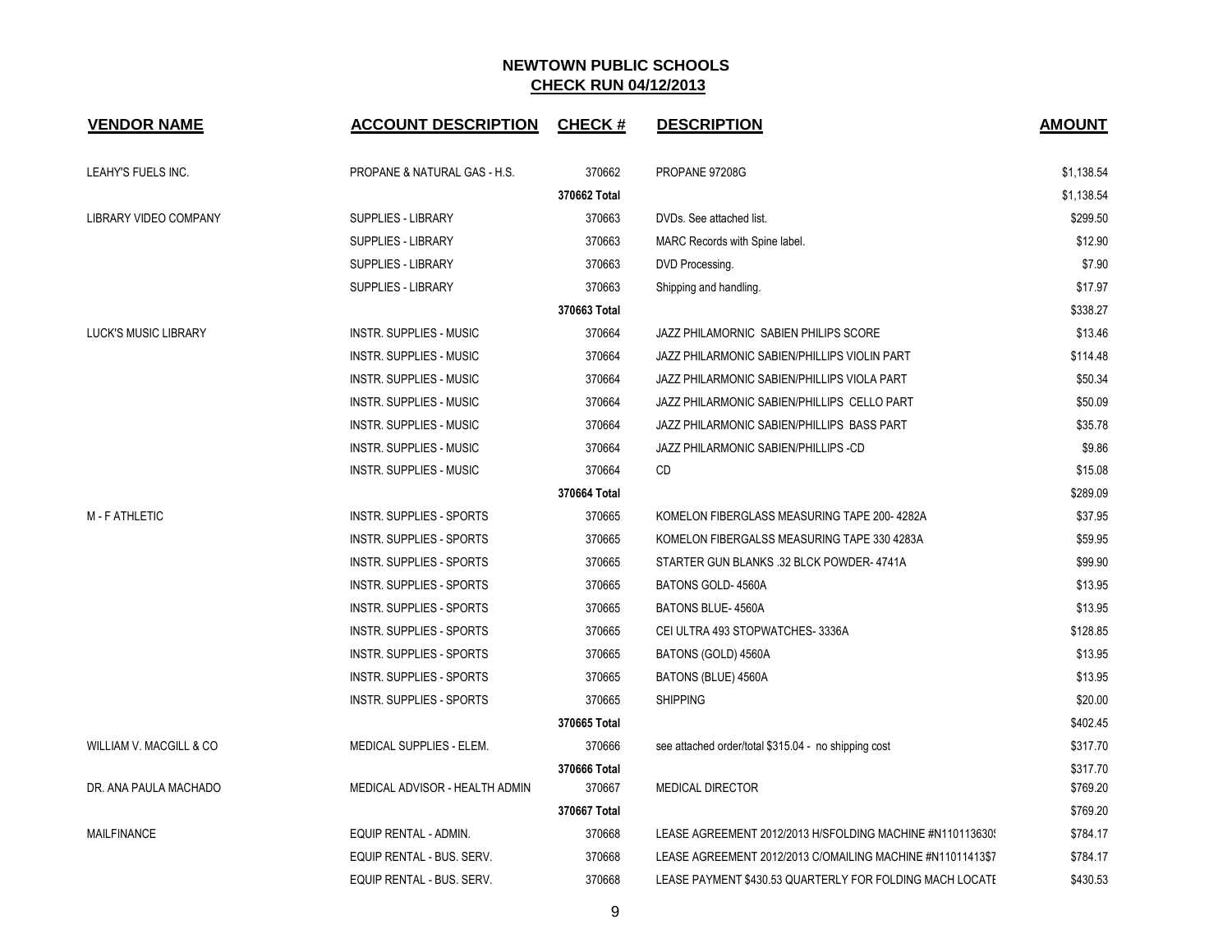| <b>VENDOR NAME</b>          | <b>ACCOUNT DESCRIPTION CHECK #</b> |              | <b>DESCRIPTION</b>                                         | <b>AMOUNT</b> |
|-----------------------------|------------------------------------|--------------|------------------------------------------------------------|---------------|
| LEAHY'S FUELS INC.          | PROPANE & NATURAL GAS - H.S.       | 370662       | PROPANE 97208G                                             | \$1,138.54    |
|                             |                                    | 370662 Total |                                                            | \$1,138.54    |
| LIBRARY VIDEO COMPANY       | <b>SUPPLIES - LIBRARY</b>          | 370663       | DVDs. See attached list.                                   | \$299.50      |
|                             | <b>SUPPLIES - LIBRARY</b>          | 370663       | MARC Records with Spine label.                             | \$12.90       |
|                             | <b>SUPPLIES - LIBRARY</b>          | 370663       | DVD Processing.                                            | \$7.90        |
|                             | <b>SUPPLIES - LIBRARY</b>          | 370663       | Shipping and handling.                                     | \$17.97       |
|                             |                                    | 370663 Total |                                                            | \$338.27      |
| <b>LUCK'S MUSIC LIBRARY</b> | <b>INSTR. SUPPLIES - MUSIC</b>     | 370664       | JAZZ PHILAMORNIC SABIEN PHILIPS SCORE                      | \$13.46       |
|                             | <b>INSTR. SUPPLIES - MUSIC</b>     | 370664       | JAZZ PHILARMONIC SABIEN/PHILLIPS VIOLIN PART               | \$114.48      |
|                             | <b>INSTR. SUPPLIES - MUSIC</b>     | 370664       | JAZZ PHILARMONIC SABIEN/PHILLIPS VIOLA PART                | \$50.34       |
|                             | <b>INSTR. SUPPLIES - MUSIC</b>     | 370664       | JAZZ PHILARMONIC SABIEN/PHILLIPS CELLO PART                | \$50.09       |
|                             | <b>INSTR. SUPPLIES - MUSIC</b>     | 370664       | JAZZ PHILARMONIC SABIEN/PHILLIPS BASS PART                 | \$35.78       |
|                             | <b>INSTR. SUPPLIES - MUSIC</b>     | 370664       | JAZZ PHILARMONIC SABIEN/PHILLIPS -CD                       | \$9.86        |
|                             | <b>INSTR. SUPPLIES - MUSIC</b>     | 370664       | CD                                                         | \$15.08       |
|                             |                                    | 370664 Total |                                                            | \$289.09      |
| M - F ATHLETIC              | INSTR. SUPPLIES - SPORTS           | 370665       | KOMELON FIBERGLASS MEASURING TAPE 200-4282A                | \$37.95       |
|                             | INSTR. SUPPLIES - SPORTS           | 370665       | KOMELON FIBERGALSS MEASURING TAPE 330 4283A                | \$59.95       |
|                             | INSTR. SUPPLIES - SPORTS           | 370665       | STARTER GUN BLANKS .32 BLCK POWDER-4741A                   | \$99.90       |
|                             | INSTR. SUPPLIES - SPORTS           | 370665       | BATONS GOLD-4560A                                          | \$13.95       |
|                             | <b>INSTR. SUPPLIES - SPORTS</b>    | 370665       | <b>BATONS BLUE-4560A</b>                                   | \$13.95       |
|                             | <b>INSTR. SUPPLIES - SPORTS</b>    | 370665       | CEI ULTRA 493 STOPWATCHES-3336A                            | \$128.85      |
|                             | INSTR. SUPPLIES - SPORTS           | 370665       | BATONS (GOLD) 4560A                                        | \$13.95       |
|                             | <b>INSTR. SUPPLIES - SPORTS</b>    | 370665       | BATONS (BLUE) 4560A                                        | \$13.95       |
|                             | INSTR. SUPPLIES - SPORTS           | 370665       | <b>SHIPPING</b>                                            | \$20.00       |
|                             |                                    | 370665 Total |                                                            | \$402.45      |
| WILLIAM V. MACGILL & CO     | MEDICAL SUPPLIES - ELEM.           | 370666       | see attached order/total \$315.04 - no shipping cost       | \$317.70      |
|                             |                                    | 370666 Total |                                                            | \$317.70      |
| DR. ANA PAULA MACHADO       | MEDICAL ADVISOR - HEALTH ADMIN     | 370667       | <b>MEDICAL DIRECTOR</b>                                    | \$769.20      |
|                             |                                    | 370667 Total |                                                            | \$769.20      |
| <b>MAILFINANCE</b>          | EQUIP RENTAL - ADMIN.              | 370668       | LEASE AGREEMENT 2012/2013 H/SFOLDING MACHINE #N110113630   | \$784.17      |
|                             | EQUIP RENTAL - BUS. SERV.          | 370668       | LEASE AGREEMENT 2012/2013 C/OMAILING MACHINE #N11011413\$7 | \$784.17      |
|                             | EQUIP RENTAL - BUS. SERV.          | 370668       | LEASE PAYMENT \$430.53 QUARTERLY FOR FOLDING MACH LOCATE   | \$430.53      |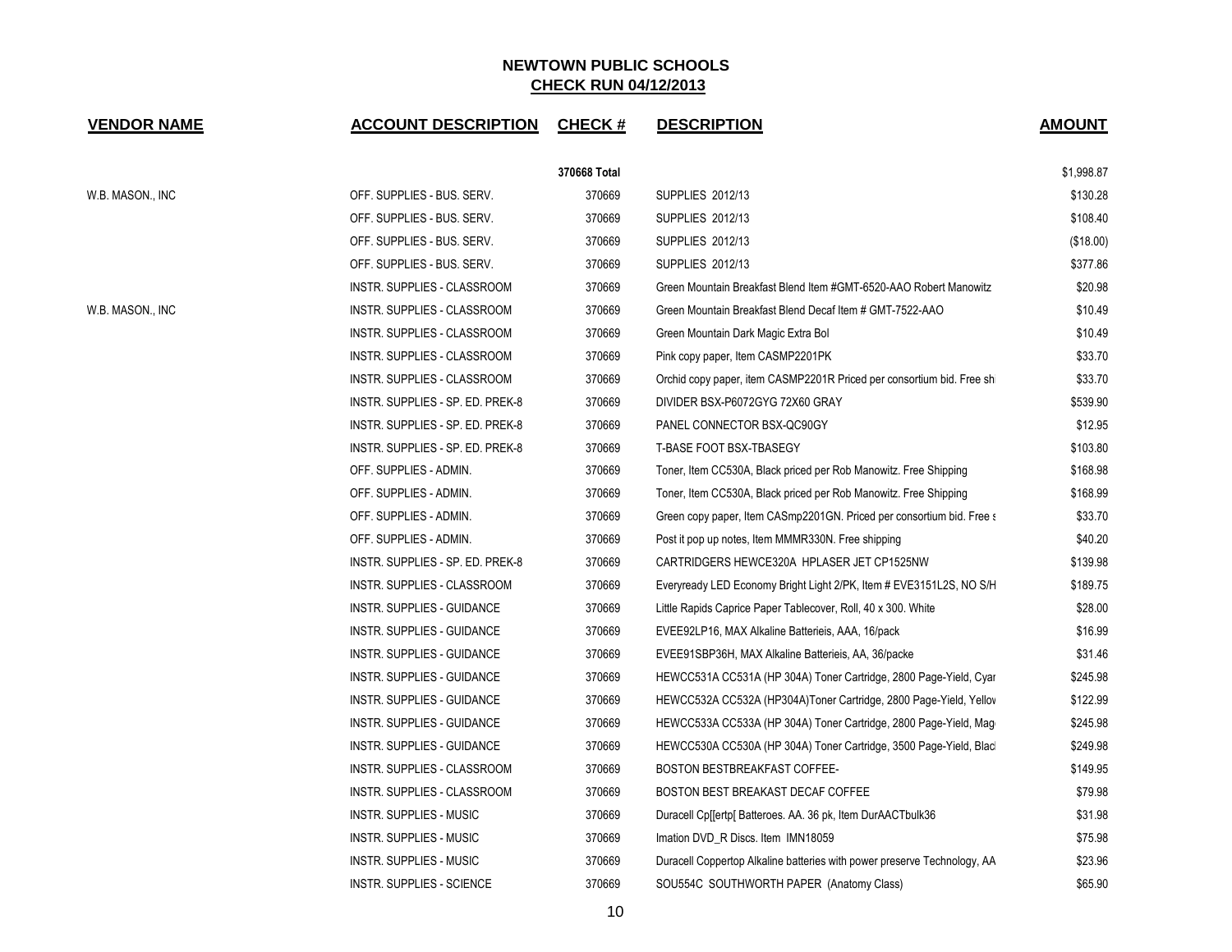| <b>VENDOR NAME</b> | <b>ACCOUNT DESCRIPTION</b>        | <b>CHECK#</b> | <b>DESCRIPTION</b>                                                       | <b>AMOUNT</b> |
|--------------------|-----------------------------------|---------------|--------------------------------------------------------------------------|---------------|
|                    |                                   | 370668 Total  |                                                                          | \$1,998.87    |
| W.B. MASON., INC   | OFF. SUPPLIES - BUS. SERV.        | 370669        | SUPPLIES 2012/13                                                         | \$130.28      |
|                    | OFF. SUPPLIES - BUS. SERV.        | 370669        | <b>SUPPLIES 2012/13</b>                                                  | \$108.40      |
|                    | OFF. SUPPLIES - BUS. SERV.        | 370669        | SUPPLIES 2012/13                                                         | (\$18.00)     |
|                    | OFF. SUPPLIES - BUS. SERV.        | 370669        | SUPPLIES 2012/13                                                         | \$377.86      |
|                    | INSTR. SUPPLIES - CLASSROOM       | 370669        | Green Mountain Breakfast Blend Item #GMT-6520-AAO Robert Manowitz        | \$20.98       |
| W.B. MASON., INC   | INSTR. SUPPLIES - CLASSROOM       | 370669        | Green Mountain Breakfast Blend Decaf Item # GMT-7522-AAO                 | \$10.49       |
|                    | INSTR. SUPPLIES - CLASSROOM       | 370669        | Green Mountain Dark Magic Extra Bol                                      | \$10.49       |
|                    | INSTR. SUPPLIES - CLASSROOM       | 370669        | Pink copy paper, Item CASMP2201PK                                        | \$33.70       |
|                    | INSTR. SUPPLIES - CLASSROOM       | 370669        | Orchid copy paper, item CASMP2201R Priced per consortium bid. Free sh    | \$33.70       |
|                    | INSTR. SUPPLIES - SP. ED. PREK-8  | 370669        | DIVIDER BSX-P6072GYG 72X60 GRAY                                          | \$539.90      |
|                    | INSTR. SUPPLIES - SP. ED. PREK-8  | 370669        | PANEL CONNECTOR BSX-QC90GY                                               | \$12.95       |
|                    | INSTR. SUPPLIES - SP. ED. PREK-8  | 370669        | T-BASE FOOT BSX-TBASEGY                                                  | \$103.80      |
|                    | OFF. SUPPLIES - ADMIN.            | 370669        | Toner, Item CC530A, Black priced per Rob Manowitz. Free Shipping         | \$168.98      |
|                    | OFF. SUPPLIES - ADMIN.            | 370669        | Toner, Item CC530A, Black priced per Rob Manowitz. Free Shipping         | \$168.99      |
|                    | OFF. SUPPLIES - ADMIN.            | 370669        | Green copy paper, Item CASmp2201GN. Priced per consortium bid. Free s    | \$33.70       |
|                    | OFF. SUPPLIES - ADMIN.            | 370669        | Post it pop up notes, Item MMMR330N. Free shipping                       | \$40.20       |
|                    | INSTR. SUPPLIES - SP. ED. PREK-8  | 370669        | CARTRIDGERS HEWCE320A HPLASER JET CP1525NW                               | \$139.98      |
|                    | INSTR. SUPPLIES - CLASSROOM       | 370669        | Everyready LED Economy Bright Light 2/PK, Item # EVE3151L2S, NO S/H      | \$189.75      |
|                    | INSTR. SUPPLIES - GUIDANCE        | 370669        | Little Rapids Caprice Paper Tablecover, Roll, 40 x 300. White            | \$28.00       |
|                    | INSTR. SUPPLIES - GUIDANCE        | 370669        | EVEE92LP16, MAX Alkaline Batterieis, AAA, 16/pack                        | \$16.99       |
|                    | INSTR. SUPPLIES - GUIDANCE        | 370669        | EVEE91SBP36H, MAX Alkaline Batterieis, AA, 36/packe                      | \$31.46       |
|                    | INSTR. SUPPLIES - GUIDANCE        | 370669        | HEWCC531A CC531A (HP 304A) Toner Cartridge, 2800 Page-Yield, Cyar        | \$245.98      |
|                    | INSTR. SUPPLIES - GUIDANCE        | 370669        | HEWCC532A CC532A (HP304A)Toner Cartridge, 2800 Page-Yield, Yellov        | \$122.99      |
|                    | INSTR. SUPPLIES - GUIDANCE        | 370669        | HEWCC533A CC533A (HP 304A) Toner Cartridge, 2800 Page-Yield, Mag         | \$245.98      |
|                    | <b>INSTR. SUPPLIES - GUIDANCE</b> | 370669        | HEWCC530A CC530A (HP 304A) Toner Cartridge, 3500 Page-Yield, Blac        | \$249.98      |
|                    | INSTR. SUPPLIES - CLASSROOM       | 370669        | BOSTON BESTBREAKFAST COFFEE-                                             | \$149.95      |
|                    | INSTR. SUPPLIES - CLASSROOM       | 370669        | BOSTON BEST BREAKAST DECAF COFFEE                                        | \$79.98       |
|                    | INSTR. SUPPLIES - MUSIC           | 370669        | Duracell Cp[[ertp[ Batteroes. AA. 36 pk, Item DurAACTbulk36              | \$31.98       |
|                    | INSTR. SUPPLIES - MUSIC           | 370669        | Imation DVD_R Discs. Item IMN18059                                       | \$75.98       |
|                    | INSTR. SUPPLIES - MUSIC           | 370669        | Duracell Coppertop Alkaline batteries with power preserve Technology, AA | \$23.96       |
|                    | <b>INSTR. SUPPLIES - SCIENCE</b>  | 370669        | SOU554C SOUTHWORTH PAPER (Anatomy Class)                                 | \$65.90       |

10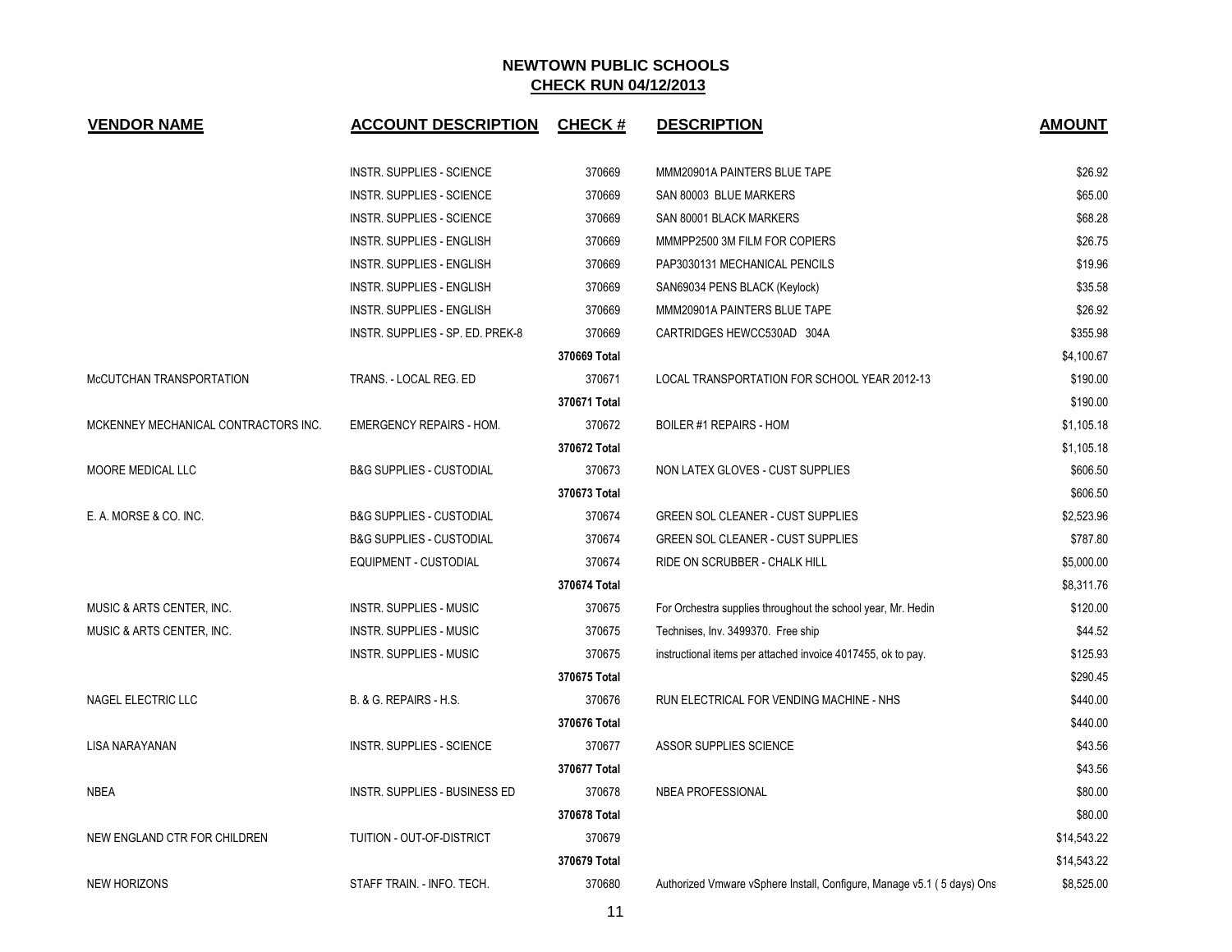| <b>VENDOR NAME</b>                   | <b>ACCOUNT DESCRIPTION</b>          | <b>CHECK#</b> | <b>DESCRIPTION</b>                                                     | <b>AMOUNT</b> |
|--------------------------------------|-------------------------------------|---------------|------------------------------------------------------------------------|---------------|
|                                      | <b>INSTR. SUPPLIES - SCIENCE</b>    | 370669        | MMM20901A PAINTERS BLUE TAPE                                           | \$26.92       |
|                                      | INSTR. SUPPLIES - SCIENCE           | 370669        | SAN 80003 BLUE MARKERS                                                 | \$65.00       |
|                                      | INSTR. SUPPLIES - SCIENCE           | 370669        | SAN 80001 BLACK MARKERS                                                | \$68.28       |
|                                      | INSTR. SUPPLIES - ENGLISH           | 370669        | MMMPP2500 3M FILM FOR COPIERS                                          | \$26.75       |
|                                      | <b>INSTR. SUPPLIES - ENGLISH</b>    | 370669        | PAP3030131 MECHANICAL PENCILS                                          | \$19.96       |
|                                      | INSTR. SUPPLIES - ENGLISH           | 370669        | SAN69034 PENS BLACK (Keylock)                                          | \$35.58       |
|                                      | <b>INSTR. SUPPLIES - ENGLISH</b>    | 370669        | MMM20901A PAINTERS BLUE TAPE                                           | \$26.92       |
|                                      | INSTR. SUPPLIES - SP. ED. PREK-8    | 370669        | CARTRIDGES HEWCC530AD 304A                                             | \$355.98      |
|                                      |                                     | 370669 Total  |                                                                        | \$4,100.67    |
| McCUTCHAN TRANSPORTATION             | TRANS. - LOCAL REG. ED              | 370671        | LOCAL TRANSPORTATION FOR SCHOOL YEAR 2012-13                           | \$190.00      |
|                                      |                                     | 370671 Total  |                                                                        | \$190.00      |
| MCKENNEY MECHANICAL CONTRACTORS INC. | <b>EMERGENCY REPAIRS - HOM.</b>     | 370672        | BOILER #1 REPAIRS - HOM                                                | \$1,105.18    |
|                                      |                                     | 370672 Total  |                                                                        | \$1,105.18    |
| <b>MOORE MEDICAL LLC</b>             | <b>B&amp;G SUPPLIES - CUSTODIAL</b> | 370673        | NON LATEX GLOVES - CUST SUPPLIES                                       | \$606.50      |
|                                      |                                     | 370673 Total  |                                                                        | \$606.50      |
| E. A. MORSE & CO. INC.               | <b>B&amp;G SUPPLIES - CUSTODIAL</b> | 370674        | <b>GREEN SOL CLEANER - CUST SUPPLIES</b>                               | \$2,523.96    |
|                                      | <b>B&amp;G SUPPLIES - CUSTODIAL</b> | 370674        | GREEN SOL CLEANER - CUST SUPPLIES                                      | \$787.80      |
|                                      | EQUIPMENT - CUSTODIAL               | 370674        | RIDE ON SCRUBBER - CHALK HILL                                          | \$5,000.00    |
|                                      |                                     | 370674 Total  |                                                                        | \$8,311.76    |
| MUSIC & ARTS CENTER, INC.            | INSTR. SUPPLIES - MUSIC             | 370675        | For Orchestra supplies throughout the school year, Mr. Hedin           | \$120.00      |
| MUSIC & ARTS CENTER, INC.            | <b>INSTR. SUPPLIES - MUSIC</b>      | 370675        | Technises, Inv. 3499370. Free ship                                     | \$44.52       |
|                                      | <b>INSTR. SUPPLIES - MUSIC</b>      | 370675        | instructional items per attached invoice 4017455, ok to pay.           | \$125.93      |
|                                      |                                     | 370675 Total  |                                                                        | \$290.45      |
| NAGEL ELECTRIC LLC                   | B. & G. REPAIRS - H.S.              | 370676        | RUN ELECTRICAL FOR VENDING MACHINE - NHS                               | \$440.00      |
|                                      |                                     | 370676 Total  |                                                                        | \$440.00      |
| LISA NARAYANAN                       | INSTR. SUPPLIES - SCIENCE           | 370677        | ASSOR SUPPLIES SCIENCE                                                 | \$43.56       |
|                                      |                                     | 370677 Total  |                                                                        | \$43.56       |
| NBEA                                 | INSTR. SUPPLIES - BUSINESS ED       | 370678        | <b>NBEA PROFESSIONAL</b>                                               | \$80.00       |
|                                      |                                     | 370678 Total  |                                                                        | \$80.00       |
| NEW ENGLAND CTR FOR CHILDREN         | TUITION - OUT-OF-DISTRICT           | 370679        |                                                                        | \$14,543.22   |
|                                      |                                     | 370679 Total  |                                                                        | \$14,543.22   |
| <b>NEW HORIZONS</b>                  | STAFF TRAIN. - INFO. TECH.          | 370680        | Authorized Vmware vSphere Install, Configure, Manage v5.1 (5 days) Ons | \$8,525.00    |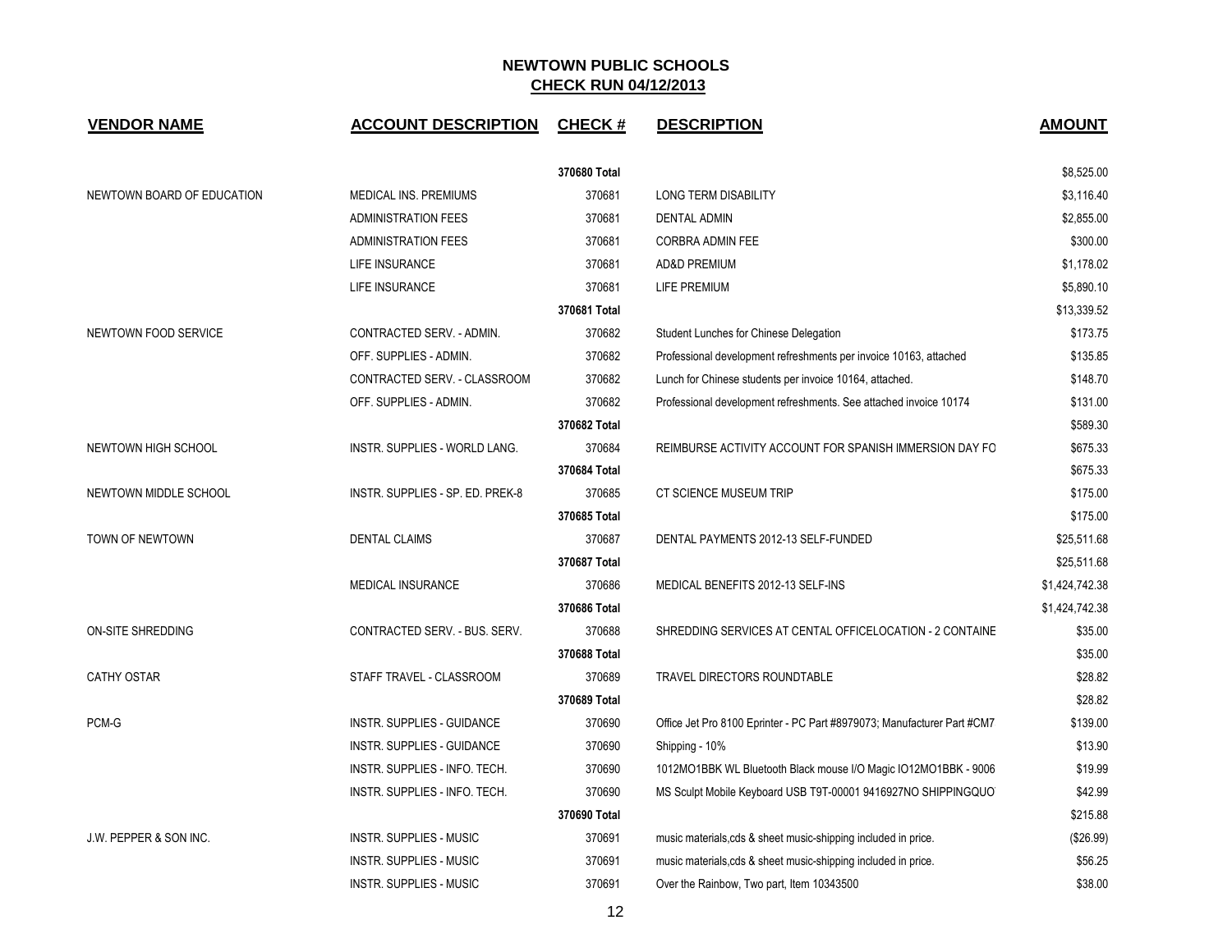| <b>VENDOR NAME</b>         | <b>ACCOUNT DESCRIPTION</b>       | <b>CHECK#</b> | <b>DESCRIPTION</b>                                                      | <b>AMOUNT</b>  |
|----------------------------|----------------------------------|---------------|-------------------------------------------------------------------------|----------------|
|                            |                                  | 370680 Total  |                                                                         | \$8,525.00     |
| NEWTOWN BOARD OF EDUCATION | MEDICAL INS. PREMIUMS            | 370681        | LONG TERM DISABILITY                                                    | \$3,116.40     |
|                            | <b>ADMINISTRATION FEES</b>       | 370681        | <b>DENTAL ADMIN</b>                                                     | \$2,855.00     |
|                            | <b>ADMINISTRATION FEES</b>       | 370681        | CORBRA ADMIN FEE                                                        | \$300.00       |
|                            | LIFE INSURANCE                   | 370681        | AD&D PREMIUM                                                            | \$1,178.02     |
|                            | LIFE INSURANCE                   | 370681        | LIFE PREMIUM                                                            | \$5,890.10     |
|                            |                                  | 370681 Total  |                                                                         | \$13,339.52    |
| NEWTOWN FOOD SERVICE       | CONTRACTED SERV. - ADMIN.        | 370682        | Student Lunches for Chinese Delegation                                  | \$173.75       |
|                            | OFF. SUPPLIES - ADMIN.           | 370682        | Professional development refreshments per invoice 10163, attached       | \$135.85       |
|                            | CONTRACTED SERV. - CLASSROOM     | 370682        | Lunch for Chinese students per invoice 10164, attached.                 | \$148.70       |
|                            | OFF. SUPPLIES - ADMIN.           | 370682        | Professional development refreshments. See attached invoice 10174       | \$131.00       |
|                            |                                  | 370682 Total  |                                                                         | \$589.30       |
| NEWTOWN HIGH SCHOOL        | INSTR. SUPPLIES - WORLD LANG.    | 370684        | REIMBURSE ACTIVITY ACCOUNT FOR SPANISH IMMERSION DAY FO                 | \$675.33       |
|                            |                                  | 370684 Total  |                                                                         | \$675.33       |
| NEWTOWN MIDDLE SCHOOL      | INSTR. SUPPLIES - SP. ED. PREK-8 | 370685        | CT SCIENCE MUSEUM TRIP                                                  | \$175.00       |
|                            |                                  | 370685 Total  |                                                                         | \$175.00       |
| TOWN OF NEWTOWN            | <b>DENTAL CLAIMS</b>             | 370687        | DENTAL PAYMENTS 2012-13 SELF-FUNDED                                     | \$25,511.68    |
|                            |                                  | 370687 Total  |                                                                         | \$25,511.68    |
|                            | MEDICAL INSURANCE                | 370686        | MEDICAL BENEFITS 2012-13 SELF-INS                                       | \$1,424,742.38 |
|                            |                                  | 370686 Total  |                                                                         | \$1,424,742.38 |
| ON-SITE SHREDDING          | CONTRACTED SERV. - BUS. SERV.    | 370688        | SHREDDING SERVICES AT CENTAL OFFICELOCATION - 2 CONTAINE                | \$35.00        |
|                            |                                  | 370688 Total  |                                                                         | \$35.00        |
| <b>CATHY OSTAR</b>         | STAFF TRAVEL - CLASSROOM         | 370689        | TRAVEL DIRECTORS ROUNDTABLE                                             | \$28.82        |
|                            |                                  | 370689 Total  |                                                                         | \$28.82        |
| PCM-G                      | INSTR. SUPPLIES - GUIDANCE       | 370690        | Office Jet Pro 8100 Eprinter - PC Part #8979073; Manufacturer Part #CM7 | \$139.00       |
|                            | INSTR. SUPPLIES - GUIDANCE       | 370690        | Shipping - 10%                                                          | \$13.90        |
|                            | INSTR. SUPPLIES - INFO. TECH.    | 370690        | 1012MO1BBK WL Bluetooth Black mouse I/O Magic IO12MO1BBK - 9006         | \$19.99        |
|                            | INSTR. SUPPLIES - INFO. TECH.    | 370690        | MS Sculpt Mobile Keyboard USB T9T-00001 9416927NO SHIPPINGQUO           | \$42.99        |
|                            |                                  | 370690 Total  |                                                                         | \$215.88       |
| J.W. PEPPER & SON INC.     | <b>INSTR. SUPPLIES - MUSIC</b>   | 370691        | music materials, cds & sheet music-shipping included in price.          | (\$26.99)      |
|                            | <b>INSTR. SUPPLIES - MUSIC</b>   | 370691        | music materials, cds & sheet music-shipping included in price.          | \$56.25        |
|                            | <b>INSTR. SUPPLIES - MUSIC</b>   | 370691        | Over the Rainbow, Two part, Item 10343500                               | \$38.00        |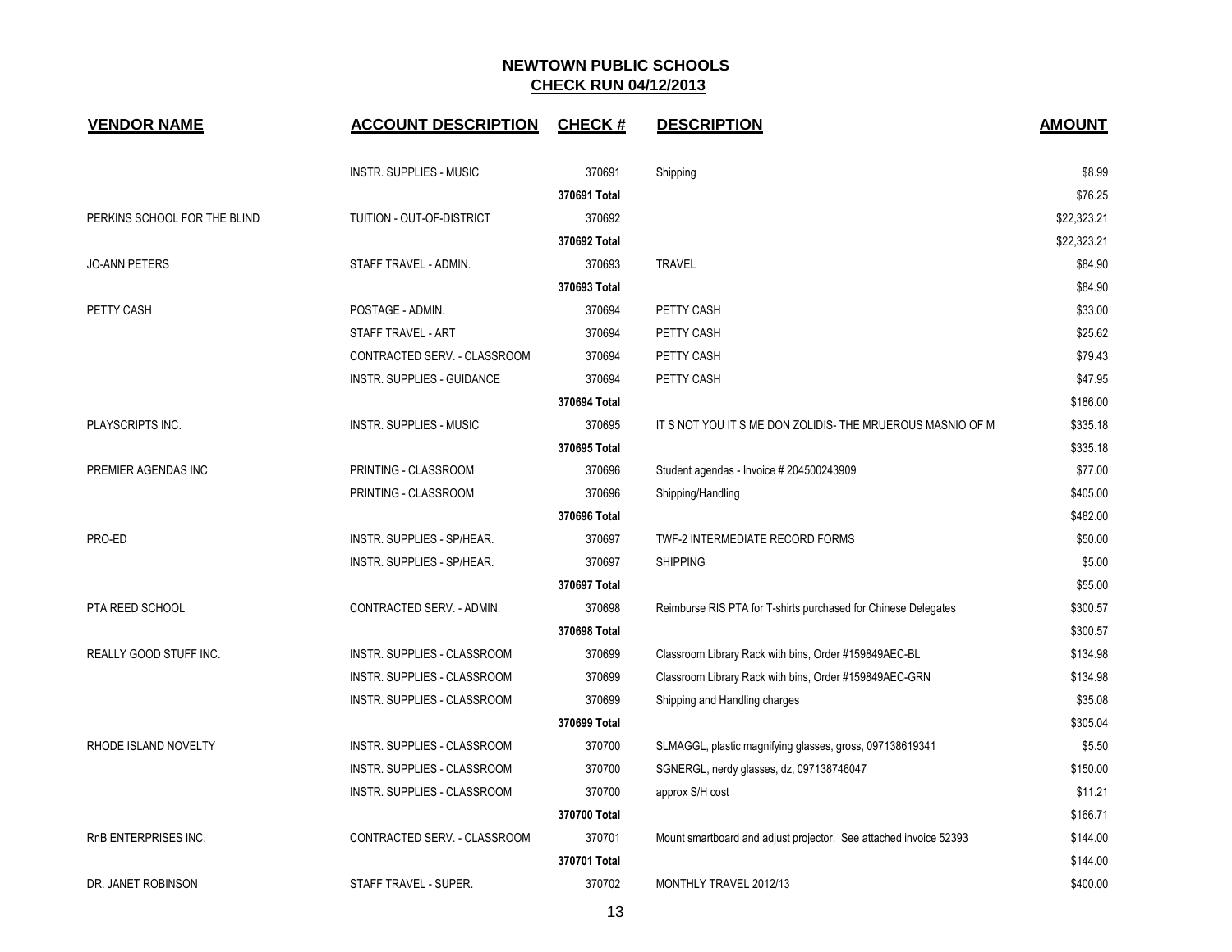| <b>VENDOR NAME</b>           | <b>ACCOUNT DESCRIPTION</b>         | <b>CHECK#</b> | <b>DESCRIPTION</b>                                                | <b>AMOUNT</b> |
|------------------------------|------------------------------------|---------------|-------------------------------------------------------------------|---------------|
|                              | <b>INSTR. SUPPLIES - MUSIC</b>     | 370691        | Shipping                                                          | \$8.99        |
|                              |                                    | 370691 Total  |                                                                   | \$76.25       |
| PERKINS SCHOOL FOR THE BLIND | <b>TUITION - OUT-OF-DISTRICT</b>   | 370692        |                                                                   | \$22,323.21   |
|                              |                                    | 370692 Total  |                                                                   | \$22,323.21   |
| <b>JO-ANN PETERS</b>         | STAFF TRAVEL - ADMIN.              | 370693        | <b>TRAVEL</b>                                                     | \$84.90       |
|                              |                                    | 370693 Total  |                                                                   | \$84.90       |
| PETTY CASH                   | POSTAGE - ADMIN.                   | 370694        | PETTY CASH                                                        | \$33.00       |
|                              | STAFF TRAVEL - ART                 | 370694        | PETTY CASH                                                        | \$25.62       |
|                              | CONTRACTED SERV. - CLASSROOM       | 370694        | PETTY CASH                                                        | \$79.43       |
|                              | INSTR. SUPPLIES - GUIDANCE         | 370694        | PETTY CASH                                                        | \$47.95       |
|                              |                                    | 370694 Total  |                                                                   | \$186.00      |
| PLAYSCRIPTS INC.             | <b>INSTR. SUPPLIES - MUSIC</b>     | 370695        | IT S NOT YOU IT S ME DON ZOLIDIS- THE MRUEROUS MASNIO OF M        | \$335.18      |
|                              |                                    | 370695 Total  |                                                                   | \$335.18      |
| PREMIER AGENDAS INC          | PRINTING - CLASSROOM               | 370696        | Student agendas - Invoice # 204500243909                          | \$77.00       |
|                              | PRINTING - CLASSROOM               | 370696        | Shipping/Handling                                                 | \$405.00      |
|                              |                                    | 370696 Total  |                                                                   | \$482.00      |
| PRO-ED                       | INSTR. SUPPLIES - SP/HEAR.         | 370697        | TWF-2 INTERMEDIATE RECORD FORMS                                   | \$50.00       |
|                              | INSTR. SUPPLIES - SP/HEAR.         | 370697        | <b>SHIPPING</b>                                                   | \$5.00        |
|                              |                                    | 370697 Total  |                                                                   | \$55.00       |
| PTA REED SCHOOL              | CONTRACTED SERV. - ADMIN.          | 370698        | Reimburse RIS PTA for T-shirts purchased for Chinese Delegates    | \$300.57      |
|                              |                                    | 370698 Total  |                                                                   | \$300.57      |
| REALLY GOOD STUFF INC.       | <b>INSTR. SUPPLIES - CLASSROOM</b> | 370699        | Classroom Library Rack with bins, Order #159849AEC-BL             | \$134.98      |
|                              | INSTR. SUPPLIES - CLASSROOM        | 370699        | Classroom Library Rack with bins, Order #159849AEC-GRN            | \$134.98      |
|                              | INSTR. SUPPLIES - CLASSROOM        | 370699        | Shipping and Handling charges                                     | \$35.08       |
|                              |                                    | 370699 Total  |                                                                   | \$305.04      |
| RHODE ISLAND NOVELTY         | INSTR. SUPPLIES - CLASSROOM        | 370700        | SLMAGGL, plastic magnifying glasses, gross, 097138619341          | \$5.50        |
|                              | INSTR. SUPPLIES - CLASSROOM        | 370700        | SGNERGL, nerdy glasses, dz, 097138746047                          | \$150.00      |
|                              | INSTR. SUPPLIES - CLASSROOM        | 370700        | approx S/H cost                                                   | \$11.21       |
|                              |                                    | 370700 Total  |                                                                   | \$166.71      |
| RnB ENTERPRISES INC.         | CONTRACTED SERV. - CLASSROOM       | 370701        | Mount smartboard and adjust projector. See attached invoice 52393 | \$144.00      |
|                              |                                    | 370701 Total  |                                                                   | \$144.00      |
| DR. JANET ROBINSON           | STAFF TRAVEL - SUPER.              | 370702        | MONTHLY TRAVEL 2012/13                                            | \$400.00      |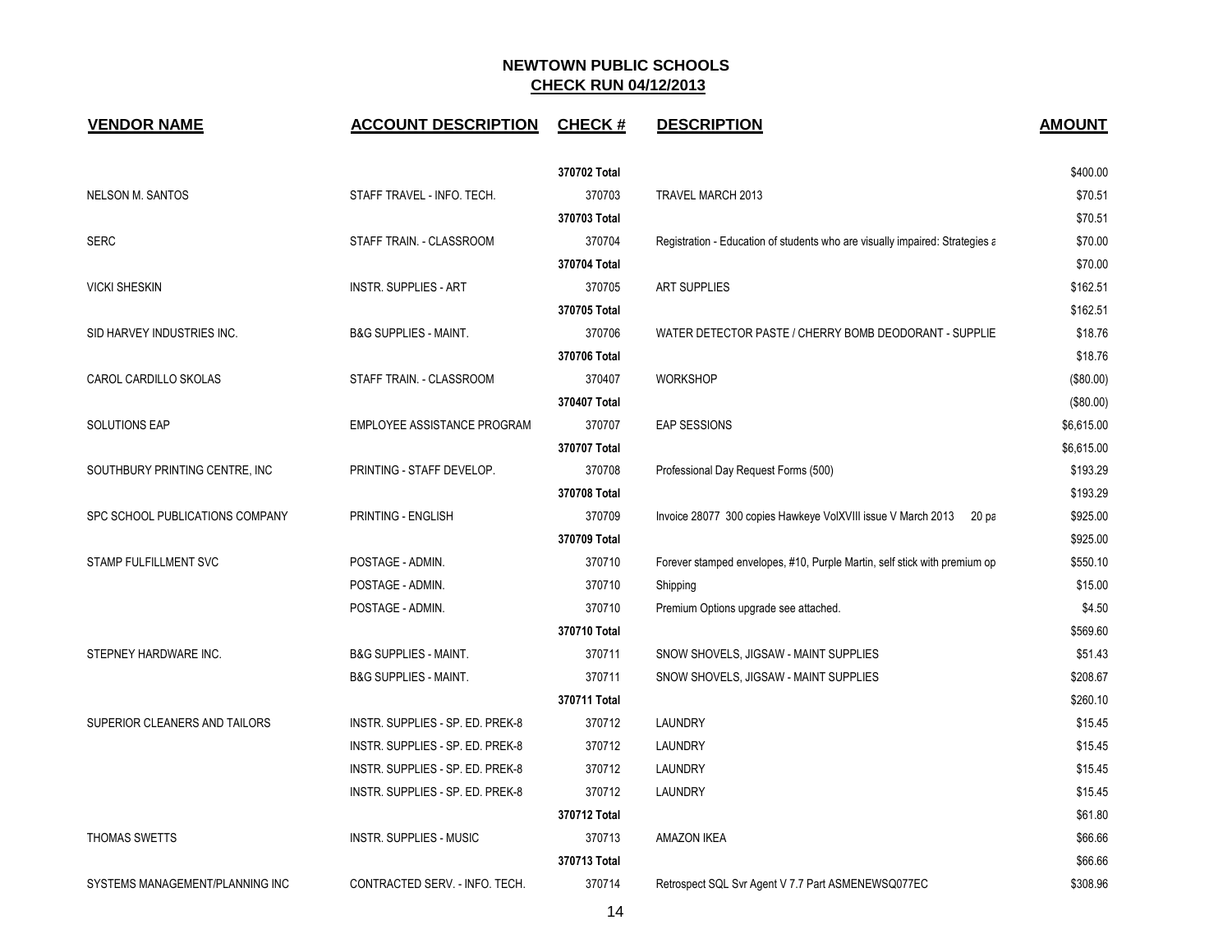| <b>VENDOR NAME</b>              | <b>ACCOUNT DESCRIPTION</b>       | <b>CHECK#</b> | <b>DESCRIPTION</b>                                                           | <b>AMOUNT</b> |
|---------------------------------|----------------------------------|---------------|------------------------------------------------------------------------------|---------------|
|                                 |                                  | 370702 Total  |                                                                              | \$400.00      |
| <b>NELSON M. SANTOS</b>         | STAFF TRAVEL - INFO. TECH.       | 370703        | TRAVEL MARCH 2013                                                            | \$70.51       |
|                                 |                                  | 370703 Total  |                                                                              | \$70.51       |
| <b>SERC</b>                     | STAFF TRAIN. - CLASSROOM         | 370704        | Registration - Education of students who are visually impaired: Strategies a | \$70.00       |
|                                 |                                  | 370704 Total  |                                                                              | \$70.00       |
| <b>VICKI SHESKIN</b>            | <b>INSTR. SUPPLIES - ART</b>     | 370705        | <b>ART SUPPLIES</b>                                                          | \$162.51      |
|                                 |                                  | 370705 Total  |                                                                              | \$162.51      |
| SID HARVEY INDUSTRIES INC.      | <b>B&amp;G SUPPLIES - MAINT.</b> | 370706        | WATER DETECTOR PASTE / CHERRY BOMB DEODORANT - SUPPLIE                       | \$18.76       |
|                                 |                                  | 370706 Total  |                                                                              | \$18.76       |
| CAROL CARDILLO SKOLAS           | STAFF TRAIN. - CLASSROOM         | 370407        | <b>WORKSHOP</b>                                                              | (\$80.00)     |
|                                 |                                  | 370407 Total  |                                                                              | (\$80.00)     |
| <b>SOLUTIONS EAP</b>            | EMPLOYEE ASSISTANCE PROGRAM      | 370707        | EAP SESSIONS                                                                 | \$6,615.00    |
|                                 |                                  | 370707 Total  |                                                                              | \$6,615.00    |
| SOUTHBURY PRINTING CENTRE, INC. | PRINTING - STAFF DEVELOP.        | 370708        | Professional Day Request Forms (500)                                         | \$193.29      |
|                                 |                                  | 370708 Total  |                                                                              | \$193.29      |
| SPC SCHOOL PUBLICATIONS COMPANY | PRINTING - ENGLISH               | 370709        | Invoice 28077 300 copies Hawkeye VolXVIII issue V March 2013<br>20 pa        | \$925.00      |
|                                 |                                  | 370709 Total  |                                                                              | \$925.00      |
| STAMP FULFILLMENT SVC           | POSTAGE - ADMIN.                 | 370710        | Forever stamped envelopes, #10, Purple Martin, self stick with premium op    | \$550.10      |
|                                 | POSTAGE - ADMIN.                 | 370710        | Shipping                                                                     | \$15.00       |
|                                 | POSTAGE - ADMIN.                 | 370710        | Premium Options upgrade see attached.                                        | \$4.50        |
|                                 |                                  | 370710 Total  |                                                                              | \$569.60      |
| STEPNEY HARDWARE INC.           | <b>B&amp;G SUPPLIES - MAINT.</b> | 370711        | SNOW SHOVELS, JIGSAW - MAINT SUPPLIES                                        | \$51.43       |
|                                 | <b>B&amp;G SUPPLIES - MAINT.</b> | 370711        | SNOW SHOVELS, JIGSAW - MAINT SUPPLIES                                        | \$208.67      |
|                                 |                                  | 370711 Total  |                                                                              | \$260.10      |
| SUPERIOR CLEANERS AND TAILORS   | INSTR. SUPPLIES - SP. ED. PREK-8 | 370712        | LAUNDRY                                                                      | \$15.45       |
|                                 | INSTR. SUPPLIES - SP. ED. PREK-8 | 370712        | LAUNDRY                                                                      | \$15.45       |
|                                 | INSTR. SUPPLIES - SP. ED. PREK-8 | 370712        | LAUNDRY                                                                      | \$15.45       |
|                                 | INSTR. SUPPLIES - SP. ED. PREK-8 | 370712        | LAUNDRY                                                                      | \$15.45       |
|                                 |                                  | 370712 Total  |                                                                              | \$61.80       |
| THOMAS SWETTS                   | <b>INSTR. SUPPLIES - MUSIC</b>   | 370713        | <b>AMAZON IKEA</b>                                                           | \$66.66       |
|                                 |                                  | 370713 Total  |                                                                              | \$66.66       |
| SYSTEMS MANAGEMENT/PLANNING INC | CONTRACTED SERV. - INFO. TECH.   | 370714        | Retrospect SQL Svr Agent V 7.7 Part ASMENEWSQ077EC                           | \$308.96      |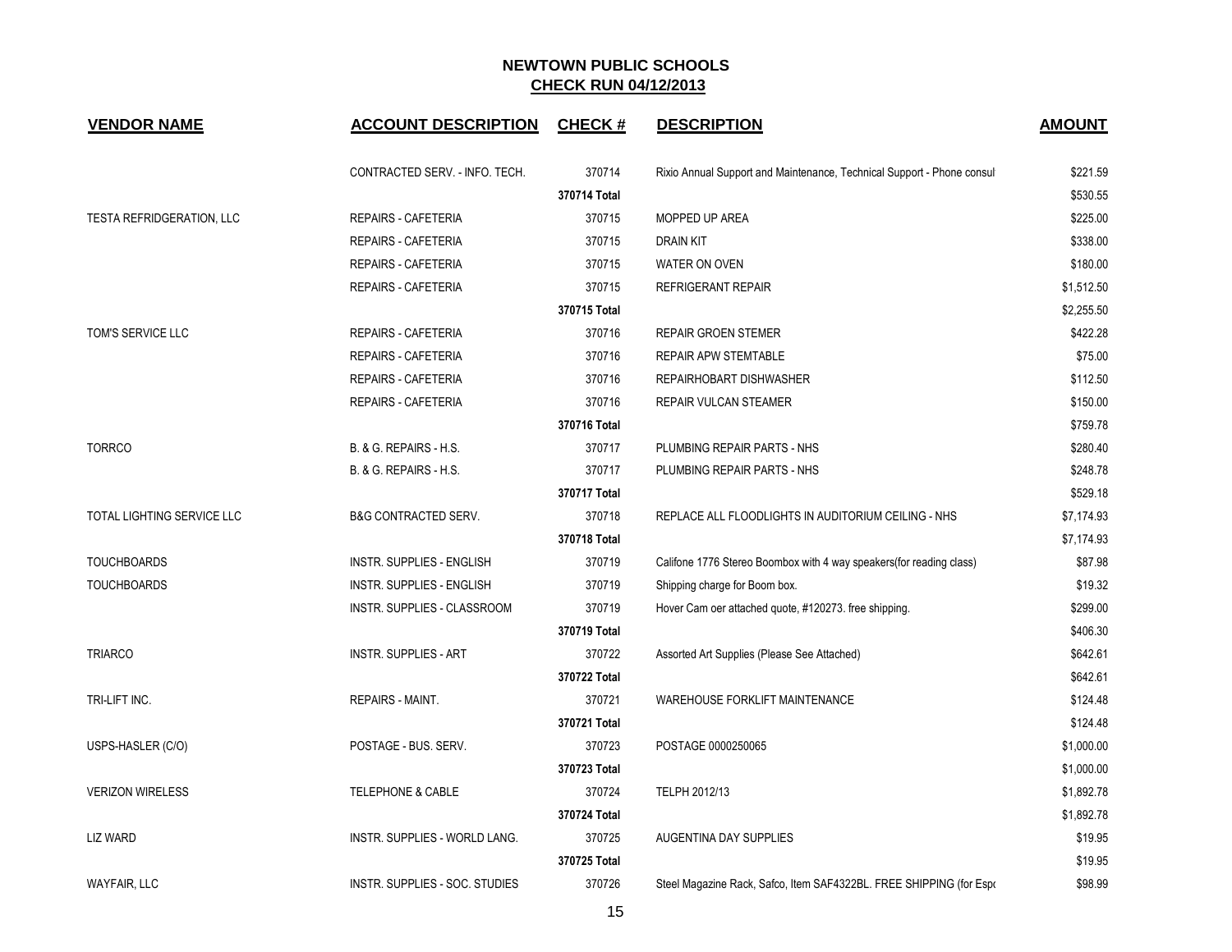| <b>VENDOR NAME</b>         | <b>ACCOUNT DESCRIPTION</b>      | <b>CHECK#</b> | <b>DESCRIPTION</b>                                                     | <b>AMOUNT</b> |  |
|----------------------------|---------------------------------|---------------|------------------------------------------------------------------------|---------------|--|
|                            | CONTRACTED SERV. - INFO. TECH.  | 370714        | Rixio Annual Support and Maintenance, Technical Support - Phone consul | \$221.59      |  |
|                            |                                 | 370714 Total  |                                                                        | \$530.55      |  |
| TESTA REFRIDGERATION, LLC  | REPAIRS - CAFETERIA             | 370715        | MOPPED UP AREA                                                         | \$225.00      |  |
|                            | <b>REPAIRS - CAFETERIA</b>      | 370715        | <b>DRAIN KIT</b>                                                       | \$338.00      |  |
|                            | REPAIRS - CAFETERIA             | 370715        | WATER ON OVEN                                                          | \$180.00      |  |
|                            | <b>REPAIRS - CAFETERIA</b>      | 370715        | <b>REFRIGERANT REPAIR</b>                                              | \$1,512.50    |  |
|                            |                                 | 370715 Total  |                                                                        | \$2,255.50    |  |
| TOM'S SERVICE LLC          | REPAIRS - CAFETERIA             | 370716        | REPAIR GROEN STEMER                                                    | \$422.28      |  |
|                            | REPAIRS - CAFETERIA             | 370716        | REPAIR APW STEMTABLE                                                   | \$75.00       |  |
|                            | REPAIRS - CAFETERIA             | 370716        | REPAIRHOBART DISHWASHER                                                | \$112.50      |  |
|                            | <b>REPAIRS - CAFETERIA</b>      | 370716        | REPAIR VULCAN STEAMER                                                  | \$150.00      |  |
|                            |                                 | 370716 Total  |                                                                        | \$759.78      |  |
| <b>TORRCO</b>              | B. & G. REPAIRS - H.S.          | 370717        | PLUMBING REPAIR PARTS - NHS                                            | \$280.40      |  |
|                            | B. & G. REPAIRS - H.S.          | 370717        | PLUMBING REPAIR PARTS - NHS                                            | \$248.78      |  |
|                            |                                 | 370717 Total  |                                                                        | \$529.18      |  |
| TOTAL LIGHTING SERVICE LLC | <b>B&amp;G CONTRACTED SERV.</b> | 370718        | REPLACE ALL FLOODLIGHTS IN AUDITORIUM CEILING - NHS                    | \$7,174.93    |  |
|                            |                                 | 370718 Total  |                                                                        | \$7,174.93    |  |
| <b>TOUCHBOARDS</b>         | INSTR. SUPPLIES - ENGLISH       | 370719        | Califone 1776 Stereo Boombox with 4 way speakers(for reading class)    | \$87.98       |  |
| <b>TOUCHBOARDS</b>         | INSTR. SUPPLIES - ENGLISH       | 370719        | Shipping charge for Boom box.                                          | \$19.32       |  |
|                            | INSTR. SUPPLIES - CLASSROOM     | 370719        | Hover Cam oer attached quote, #120273. free shipping.                  | \$299.00      |  |
|                            |                                 | 370719 Total  |                                                                        | \$406.30      |  |
| <b>TRIARCO</b>             | <b>INSTR. SUPPLIES - ART</b>    | 370722        | Assorted Art Supplies (Please See Attached)                            | \$642.61      |  |
|                            |                                 | 370722 Total  |                                                                        | \$642.61      |  |
| TRI-LIFT INC.              | <b>REPAIRS - MAINT.</b>         | 370721        | WAREHOUSE FORKLIFT MAINTENANCE                                         | \$124.48      |  |
|                            |                                 | 370721 Total  |                                                                        | \$124.48      |  |
| USPS-HASLER (C/O)          | POSTAGE - BUS. SERV.            | 370723        | POSTAGE 0000250065                                                     | \$1,000.00    |  |
|                            |                                 | 370723 Total  |                                                                        | \$1,000.00    |  |
| <b>VERIZON WIRELESS</b>    | TELEPHONE & CABLE               | 370724        | TELPH 2012/13                                                          | \$1,892.78    |  |
|                            |                                 | 370724 Total  |                                                                        | \$1,892.78    |  |
| LIZ WARD                   | INSTR. SUPPLIES - WORLD LANG.   | 370725        | AUGENTINA DAY SUPPLIES                                                 | \$19.95       |  |
|                            |                                 | 370725 Total  |                                                                        | \$19.95       |  |
| <b>WAYFAIR, LLC</b>        | INSTR. SUPPLIES - SOC. STUDIES  | 370726        | Steel Magazine Rack, Safco, Item SAF4322BL. FREE SHIPPING (for Espo    | \$98.99       |  |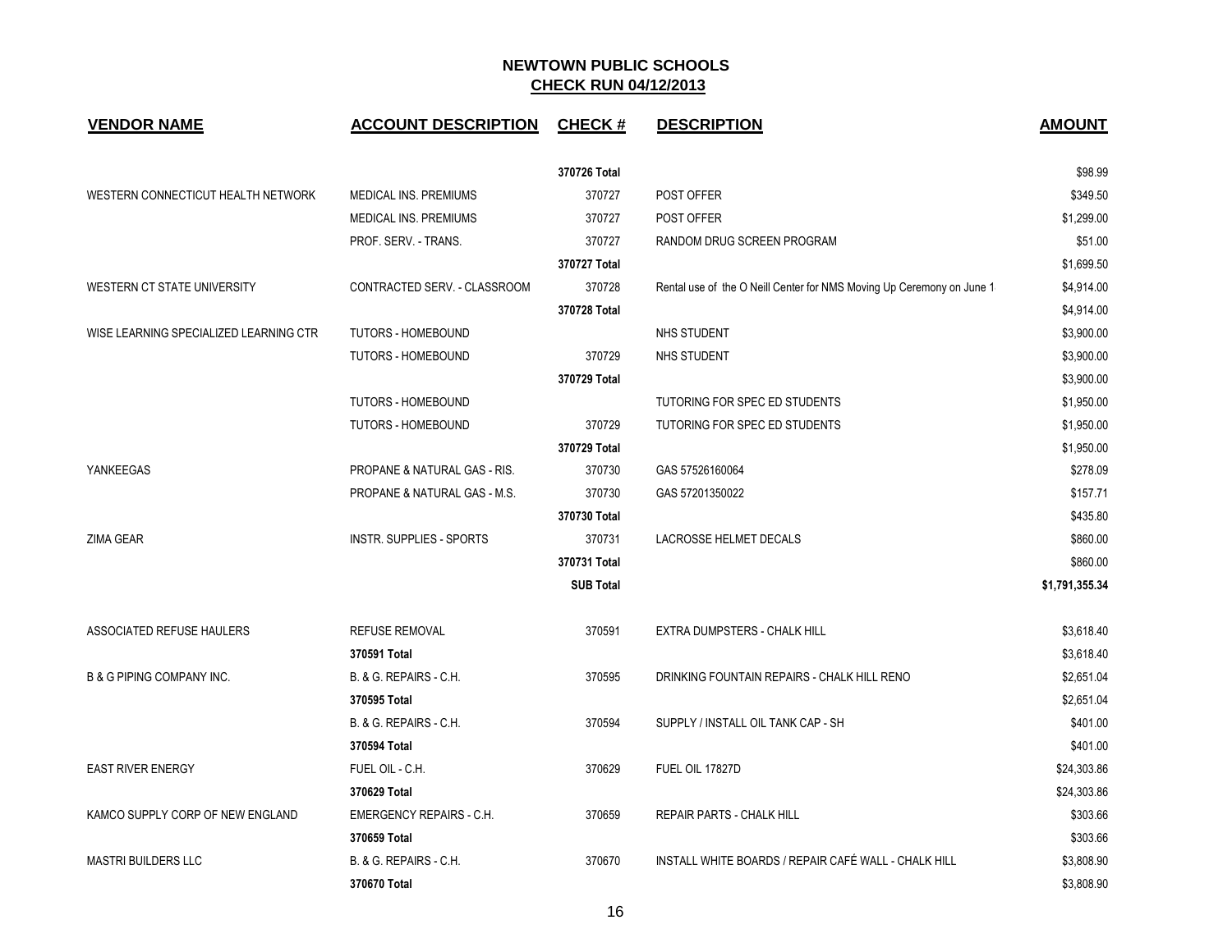| <b>VENDOR NAME</b>                     | <b>ACCOUNT DESCRIPTION</b>      | <b>CHECK#</b>    | <b>DESCRIPTION</b>                                                    | <b>AMOUNT</b>  |
|----------------------------------------|---------------------------------|------------------|-----------------------------------------------------------------------|----------------|
|                                        |                                 | 370726 Total     |                                                                       | \$98.99        |
| WESTERN CONNECTICUT HEALTH NETWORK     | MEDICAL INS. PREMIUMS           | 370727           | POST OFFER                                                            | \$349.50       |
|                                        | MEDICAL INS. PREMIUMS           | 370727           | POST OFFER                                                            | \$1,299.00     |
|                                        | PROF. SERV. - TRANS.            | 370727           | RANDOM DRUG SCREEN PROGRAM                                            | \$51.00        |
|                                        |                                 | 370727 Total     |                                                                       | \$1,699.50     |
| WESTERN CT STATE UNIVERSITY            | CONTRACTED SERV. - CLASSROOM    | 370728           | Rental use of the O Neill Center for NMS Moving Up Ceremony on June 1 | \$4,914.00     |
|                                        |                                 | 370728 Total     |                                                                       | \$4,914.00     |
| WISE LEARNING SPECIALIZED LEARNING CTR | TUTORS - HOMEBOUND              |                  | NHS STUDENT                                                           | \$3,900.00     |
|                                        | TUTORS - HOMEBOUND              | 370729           | NHS STUDENT                                                           | \$3,900.00     |
|                                        |                                 | 370729 Total     |                                                                       | \$3,900.00     |
|                                        | TUTORS - HOMEBOUND              |                  | TUTORING FOR SPEC ED STUDENTS                                         | \$1,950.00     |
|                                        | TUTORS - HOMEBOUND              | 370729           | TUTORING FOR SPEC ED STUDENTS                                         | \$1,950.00     |
|                                        |                                 | 370729 Total     |                                                                       | \$1,950.00     |
| YANKEEGAS                              | PROPANE & NATURAL GAS - RIS.    | 370730           | GAS 57526160064                                                       | \$278.09       |
|                                        | PROPANE & NATURAL GAS - M.S.    | 370730           | GAS 57201350022                                                       | \$157.71       |
|                                        |                                 | 370730 Total     |                                                                       | \$435.80       |
| ZIMA GEAR                              | INSTR. SUPPLIES - SPORTS        | 370731           | LACROSSE HELMET DECALS                                                | \$860.00       |
|                                        |                                 | 370731 Total     |                                                                       | \$860.00       |
|                                        |                                 | <b>SUB Total</b> |                                                                       | \$1,791,355.34 |
| ASSOCIATED REFUSE HAULERS              | <b>REFUSE REMOVAL</b>           | 370591           | EXTRA DUMPSTERS - CHALK HILL                                          | \$3,618.40     |
|                                        | 370591 Total                    |                  |                                                                       | \$3,618.40     |
| <b>B &amp; G PIPING COMPANY INC.</b>   | B. & G. REPAIRS - C.H.          | 370595           | DRINKING FOUNTAIN REPAIRS - CHALK HILL RENO                           | \$2,651.04     |
|                                        | 370595 Total                    |                  |                                                                       | \$2,651.04     |
|                                        | B. & G. REPAIRS - C.H.          | 370594           | SUPPLY / INSTALL OIL TANK CAP - SH                                    | \$401.00       |
|                                        | 370594 Total                    |                  |                                                                       | \$401.00       |
| <b>EAST RIVER ENERGY</b>               | FUEL OIL - C.H.                 | 370629           | FUEL OIL 17827D                                                       | \$24,303.86    |
|                                        | 370629 Total                    |                  |                                                                       | \$24,303.86    |
| KAMCO SUPPLY CORP OF NEW ENGLAND       | <b>EMERGENCY REPAIRS - C.H.</b> | 370659           | REPAIR PARTS - CHALK HILL                                             | \$303.66       |
|                                        | 370659 Total                    |                  |                                                                       | \$303.66       |
| <b>MASTRI BUILDERS LLC</b>             | B. & G. REPAIRS - C.H.          | 370670           | INSTALL WHITE BOARDS / REPAIR CAFÉ WALL - CHALK HILL                  | \$3,808.90     |
|                                        | 370670 Total                    |                  |                                                                       | \$3,808.90     |